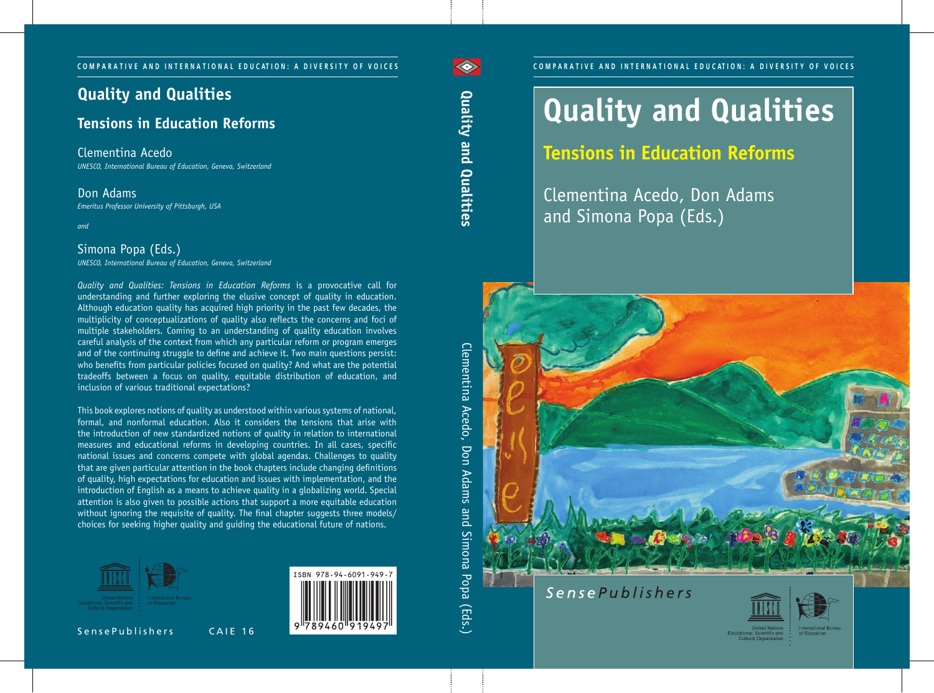## **Quality and Qualities**

### **Tensions in Education Reforms**

Clementina Acedo *UNESCO, International Bureau of Education, Geneva, Switzerland*

Don Adams *Emeritus Professor University of Pittsburgh, USA*

*and*

### Simona Popa (Eds.)

*UNESCO, International Bureau of Education, Geneva, Switzerland*

*Quality and Qualities: Tensions in Education Reforms* is a provocative call for understanding and further exploring the elusive concept of quality in education. Although education quality has acquired high priority in the past few decades, the multiplicity of conceptualizations of quality also reflects the concerns and foci of multiple stakeholders. Coming to an understanding of quality education involves careful analysis of the context from which any particular reform or program emerges and of the continuing struggle to define and achieve it. Two main questions persist: who benefits from particular policies focused on quality? And what are the potential tradeoffs between a focus on quality, equitable distribution of education, and inclusion of various traditional expectations?

This book explores notions of quality as understood within various systems of national, formal, and nonformal education. Also it considers the tensions that arise with the introduction of new standardized notions of quality in relation to international measures and educational reforms in developing countries. In all cases, specific national issues and concerns compete with global agendas. Challenges to quality that are given particular attention in the book chapters include changing definitions of quality, high expectations for education and issues with implementation, and the introduction of English as a means to achieve quality in a globalizing world. Special attention is also given to possible actions that support a more equitable education without ignoring the requisite of quality. The final chapter suggests three models/ choices for seeking higher quality and guiding the educational future of nations.



SensePublishers CAIE 16



 $\alpha$  Clementina Acedo, Don Adams and Simona Popa (Eds.)  $\alpha$ Clementina Acedo, Don Adams and Simona Popa (Eds.)

Quality and Qualities

# **Quality and Qualities**

**Tensions in Education Reforms**

Clementina Acedo, Don Adams and Simona Popa (Eds.)

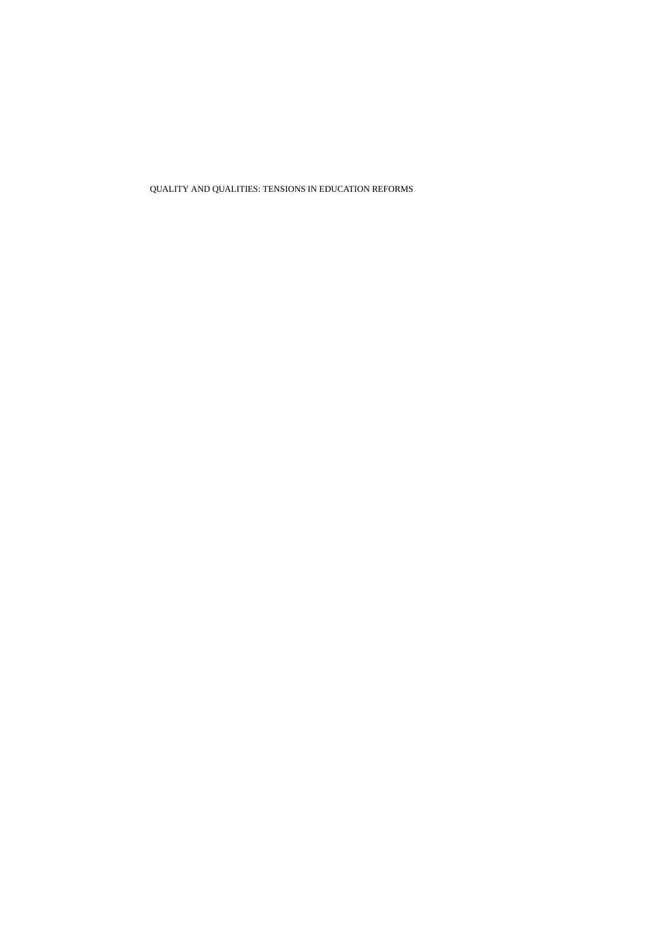QUALITY AND QUALITIES: TENSIONS IN EDUCATION REFORMS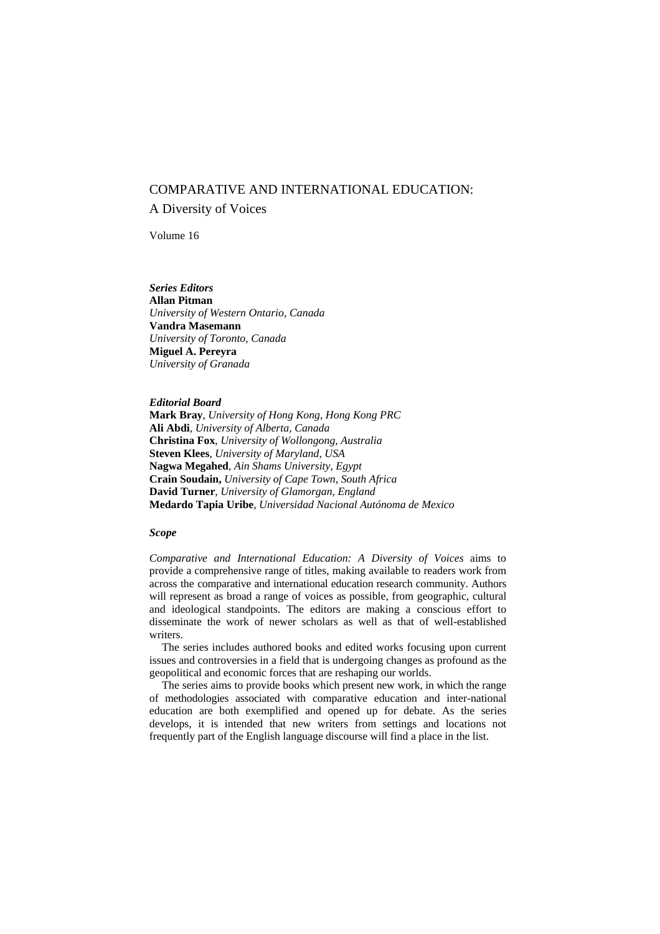### COMPARATIVE AND INTERNATIONAL EDUCATION: A Diversity of Voices

Volume 16

*Series Editors* **Allan Pitman**  *University of Western Ontario, Canada*  **Vandra Masemann**  *University of Toronto, Canada*  **Miguel A. Pereyra**  *University of Granada* 

*Editorial Board*  **Mark Bray**, *University of Hong Kong, Hong Kong PRC*  **Ali Abdi**, *University of Alberta, Canada* **Christina Fox**, *University of Wollongong, Australia* **Steven Klees**, *University of Maryland, USA* **Nagwa Megahed**, *Ain Shams University, Egypt* **Crain Soudain,** *University of Cape Town, South Africa*  **David Turner**, *University of Glamorgan, England* **Medardo Tapia Uribe**, *Universidad Nacional Autónoma de Mexico*

#### *Scope*

*Comparative and International Education: A Diversity of Voices* aims to provide a comprehensive range of titles, making available to readers work from across the comparative and international education research community. Authors will represent as broad a range of voices as possible, from geographic, cultural and ideological standpoints. The editors are making a conscious effort to disseminate the work of newer scholars as well as that of well-established writers.

 The series includes authored books and edited works focusing upon current issues and controversies in a field that is undergoing changes as profound as the geopolitical and economic forces that are reshaping our worlds.

The series aims to provide books which present new work, in which the range of methodologies associated with comparative education and inter-national education are both exemplified and opened up for debate. As the series develops, it is intended that new writers from settings and locations not frequently part of the English language discourse will find a place in the list.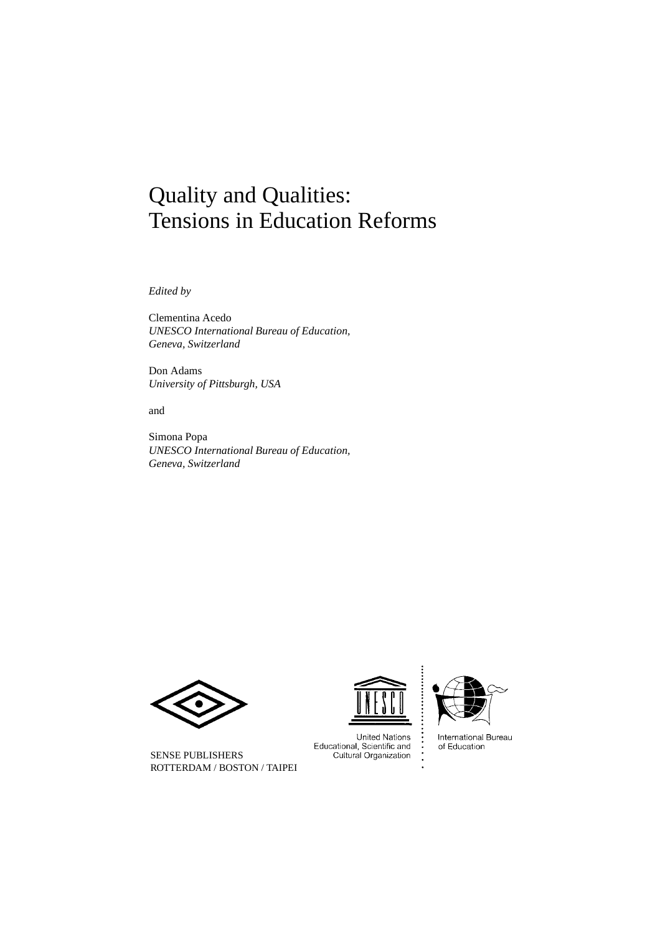# Quality and Qualities: Tensions in Education Reforms

*Edited by*

Clementina Acedo *UNESCO International Bureau of Education, Geneva, Switzerland*

Don Adams *University of Pittsburgh, USA*

and

Simona Popa *UNESCO International Bureau of Education, Geneva, Switzerland*



SENSE PUBLISHERS ROTTERDAM / BOSTON / TAIPEI



**United Nations** Educational, Scientific and Cultural Organization



International Bureau of Education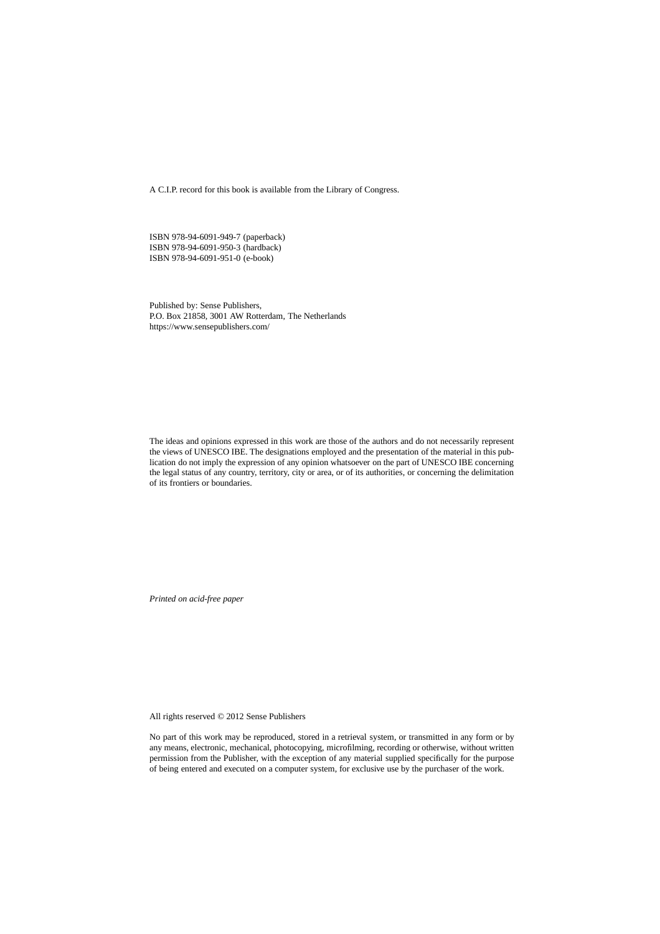A C.I.P. record for this book is available from the Library of Congress.

ISBN 978-94-6091-949-7 (paperback) ISBN 978-94-6091-950-3 (hardback) ISBN 978-94-6091-951-0 (e-book)

Published by: Sense Publishers, P.O. Box 21858, 3001 AW Rotterdam, The Netherlands https://www.sensepublishers.com/

The ideas and opinions expressed in this work are those of the authors and do not necessarily represent the views of UNESCO IBE. The designations employed and the presentation of the material in this publication do not imply the expression of any opinion whatsoever on the part of UNESCO IBE concerning the legal status of any country, territory, city or area, or of its authorities, or concerning the delimitation of its frontiers or boundaries.

*Printed on acid-free paper*

All rights reserved © 2012 Sense Publishers

No part of this work may be reproduced, stored in a retrieval system, or transmitted in any form or by any means, electronic, mechanical, photocopying, microfilming, recording or otherwise, without written permission from the Publisher, with the exception of any material supplied specifically for the purpose of being entered and executed on a computer system, for exclusive use by the purchaser of the work.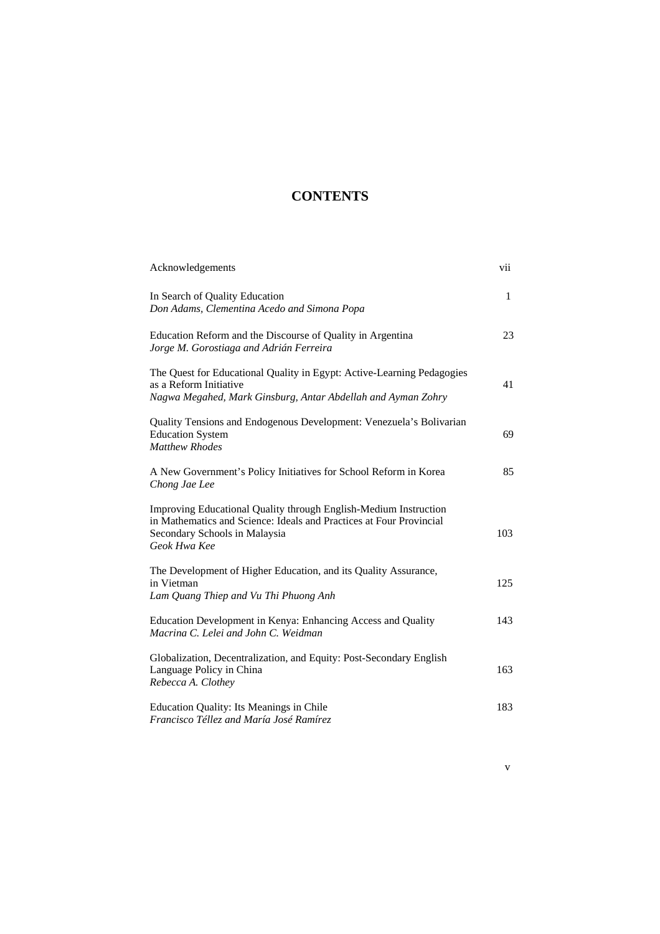### **CONTENTS**

| Acknowledgements                                                                                                                                                                         | vii          |
|------------------------------------------------------------------------------------------------------------------------------------------------------------------------------------------|--------------|
| In Search of Quality Education<br>Don Adams, Clementina Acedo and Simona Popa                                                                                                            | $\mathbf{1}$ |
| Education Reform and the Discourse of Quality in Argentina<br>Jorge M. Gorostiaga and Adrián Ferreira                                                                                    | 23           |
| The Quest for Educational Quality in Egypt: Active-Learning Pedagogies<br>as a Reform Initiative<br>Nagwa Megahed, Mark Ginsburg, Antar Abdellah and Ayman Zohry                         | 41           |
| Quality Tensions and Endogenous Development: Venezuela's Bolivarian<br><b>Education System</b><br><b>Matthew Rhodes</b>                                                                  | 69           |
| A New Government's Policy Initiatives for School Reform in Korea<br>Chong Jae Lee                                                                                                        | 85           |
| Improving Educational Quality through English-Medium Instruction<br>in Mathematics and Science: Ideals and Practices at Four Provincial<br>Secondary Schools in Malaysia<br>Geok Hwa Kee | 103          |
| The Development of Higher Education, and its Quality Assurance,<br>in Vietman<br>Lam Quang Thiep and Vu Thi Phuong Anh                                                                   | 125          |
| Education Development in Kenya: Enhancing Access and Quality<br>Macrina C. Lelei and John C. Weidman                                                                                     | 143          |
| Globalization, Decentralization, and Equity: Post-Secondary English<br>Language Policy in China<br>Rebecca A. Clothey                                                                    | 163          |
| Education Quality: Its Meanings in Chile<br>Francisco Téllez and María José Ramírez                                                                                                      | 183          |

v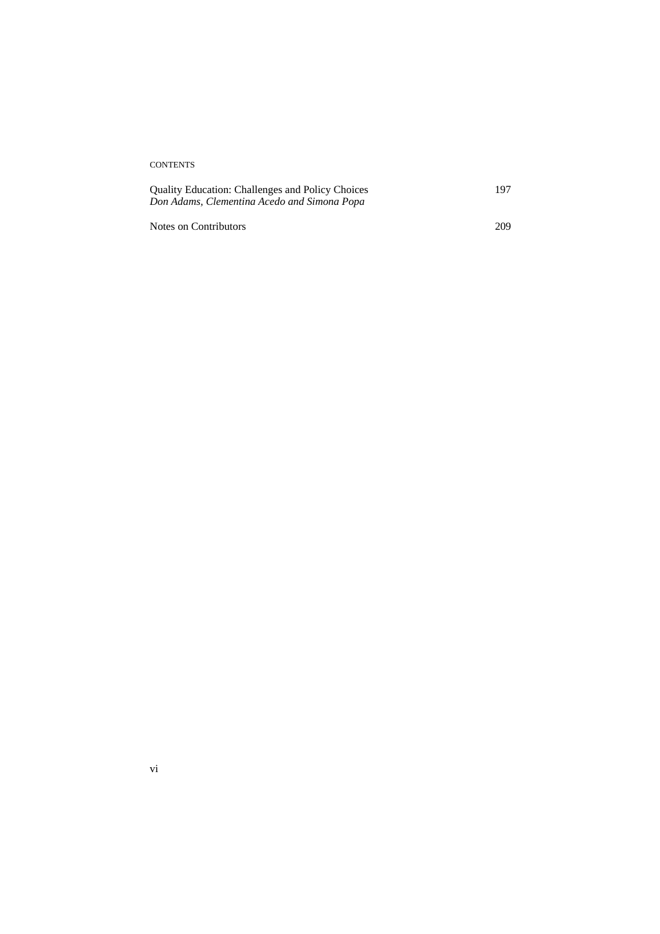#### **CONTENTS**

| <b>Quality Education: Challenges and Policy Choices</b> | 197 |
|---------------------------------------------------------|-----|
| Don Adams, Clementina Acedo and Simona Popa             |     |

Notes on Contributors 209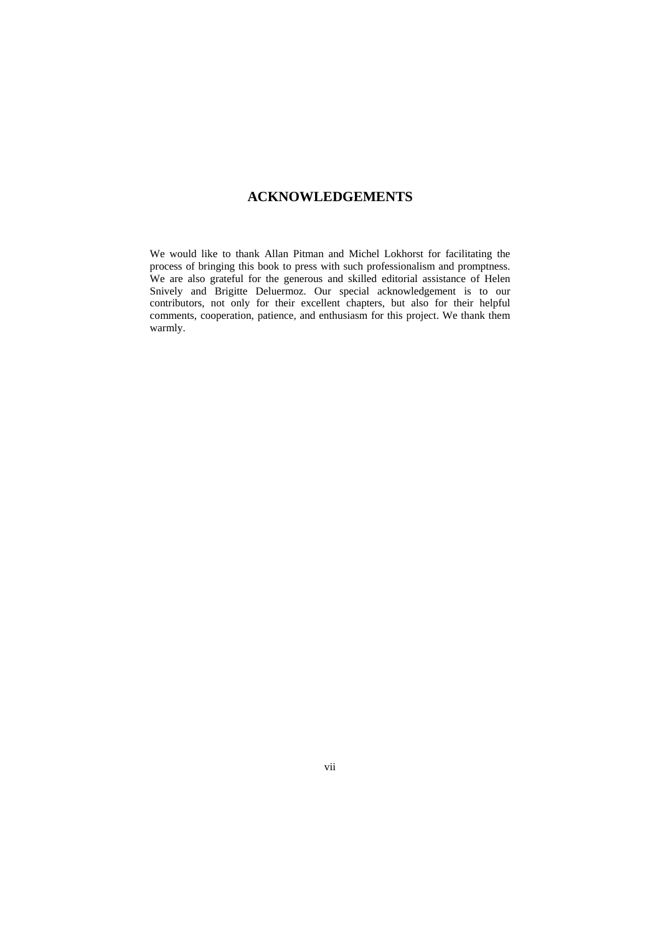### **ACKNOWLEDGEMENTS**

We would like to thank Allan Pitman and Michel Lokhorst for facilitating the process of bringing this book to press with such professionalism and promptness. We are also grateful for the generous and skilled editorial assistance of Helen Snively and Brigitte Deluermoz. Our special acknowledgement is to our contributors, not only for their excellent chapters, but also for their helpful comments, cooperation, patience, and enthusiasm for this project. We thank them warmly.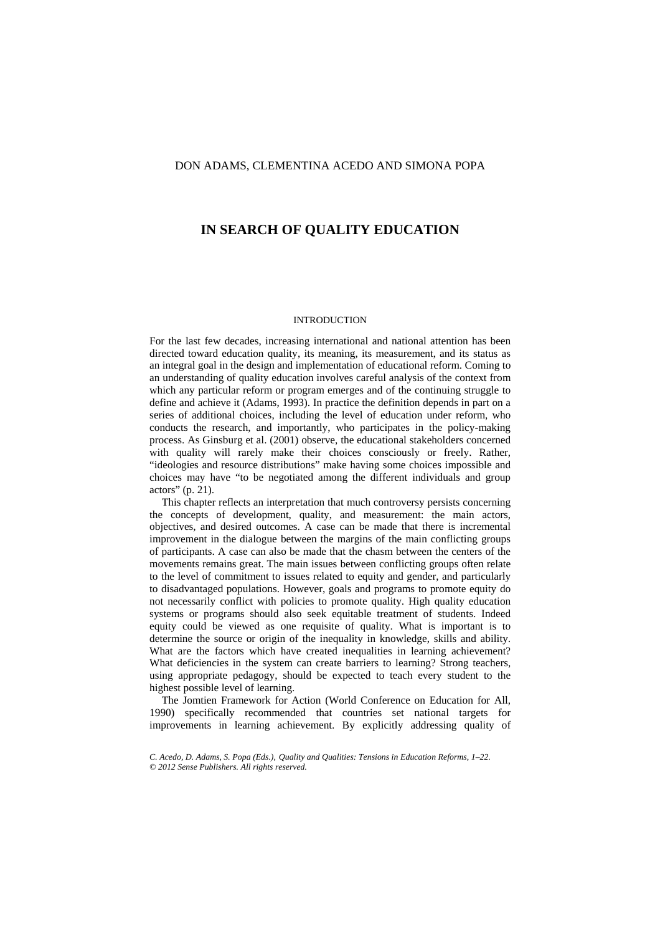### **IN SEARCH OF QUALITY EDUCATION**

#### **INTRODUCTION**

For the last few decades, increasing international and national attention has been directed toward education quality, its meaning, its measurement, and its status as an integral goal in the design and implementation of educational reform. Coming to an understanding of quality education involves careful analysis of the context from which any particular reform or program emerges and of the continuing struggle to define and achieve it (Adams, 1993). In practice the definition depends in part on a series of additional choices, including the level of education under reform, who conducts the research, and importantly, who participates in the policy-making process. As Ginsburg et al. (2001) observe, the educational stakeholders concerned with quality will rarely make their choices consciously or freely. Rather, "ideologies and resource distributions" make having some choices impossible and choices may have "to be negotiated among the different individuals and group actors" (p. 21).

 This chapter reflects an interpretation that much controversy persists concerning the concepts of development, quality, and measurement: the main actors, objectives, and desired outcomes. A case can be made that there is incremental improvement in the dialogue between the margins of the main conflicting groups of participants. A case can also be made that the chasm between the centers of the movements remains great. The main issues between conflicting groups often relate to the level of commitment to issues related to equity and gender, and particularly to disadvantaged populations. However, goals and programs to promote equity do not necessarily conflict with policies to promote quality. High quality education systems or programs should also seek equitable treatment of students. Indeed equity could be viewed as one requisite of quality. What is important is to determine the source or origin of the inequality in knowledge, skills and ability. What are the factors which have created inequalities in learning achievement? What deficiencies in the system can create barriers to learning? Strong teachers, using appropriate pedagogy, should be expected to teach every student to the highest possible level of learning.

 The Jomtien Framework for Action (World Conference on Education for All, 1990) specifically recommended that countries set national targets for improvements in learning achievement. By explicitly addressing quality of

*C. Acedo, D. Adams, S. Popa (Eds.), Quality and Qualities: Tensions in Education Reforms, 1–22. © 2012 Sense Publishers. All rights reserved.*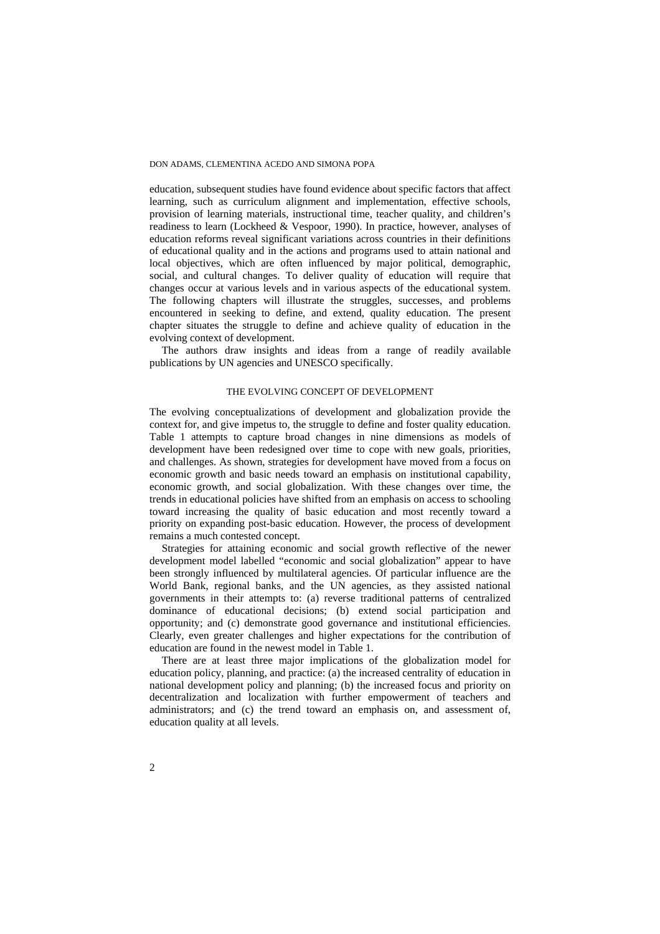education, subsequent studies have found evidence about specific factors that affect learning, such as curriculum alignment and implementation, effective schools, provision of learning materials, instructional time, teacher quality, and children's readiness to learn (Lockheed & Vespoor, 1990). In practice, however, analyses of education reforms reveal significant variations across countries in their definitions of educational quality and in the actions and programs used to attain national and local objectives, which are often influenced by major political, demographic, social, and cultural changes. To deliver quality of education will require that changes occur at various levels and in various aspects of the educational system. The following chapters will illustrate the struggles, successes, and problems encountered in seeking to define, and extend, quality education. The present chapter situates the struggle to define and achieve quality of education in the evolving context of development.

 The authors draw insights and ideas from a range of readily available publications by UN agencies and UNESCO specifically.

#### THE EVOLVING CONCEPT OF DEVELOPMENT

The evolving conceptualizations of development and globalization provide the context for, and give impetus to, the struggle to define and foster quality education. Table 1 attempts to capture broad changes in nine dimensions as models of development have been redesigned over time to cope with new goals, priorities, and challenges. As shown, strategies for development have moved from a focus on economic growth and basic needs toward an emphasis on institutional capability, economic growth, and social globalization. With these changes over time, the trends in educational policies have shifted from an emphasis on access to schooling toward increasing the quality of basic education and most recently toward a priority on expanding post-basic education. However, the process of development remains a much contested concept.

 Strategies for attaining economic and social growth reflective of the newer development model labelled "economic and social globalization" appear to have been strongly influenced by multilateral agencies. Of particular influence are the World Bank, regional banks, and the UN agencies, as they assisted national governments in their attempts to: (a) reverse traditional patterns of centralized dominance of educational decisions; (b) extend social participation and opportunity; and (c) demonstrate good governance and institutional efficiencies. Clearly, even greater challenges and higher expectations for the contribution of education are found in the newest model in Table 1.

 There are at least three major implications of the globalization model for education policy, planning, and practice: (a) the increased centrality of education in national development policy and planning; (b) the increased focus and priority on decentralization and localization with further empowerment of teachers and administrators; and (c) the trend toward an emphasis on, and assessment of, education quality at all levels.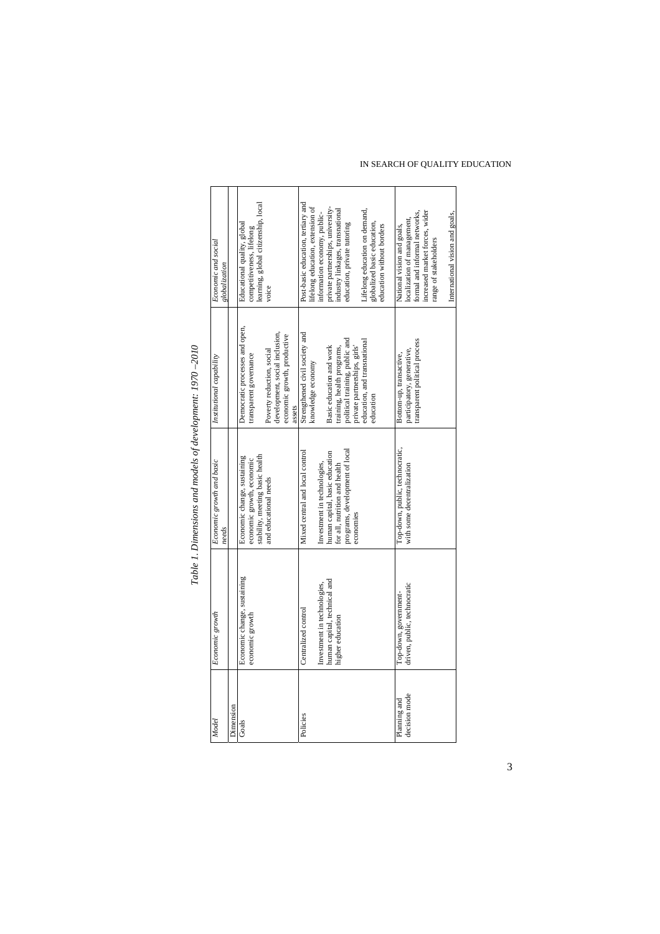| Dimension<br>Model                   | economic growth<br>Goals                                                                                                                                         | Policies                                                                                                                                                                                                                                                                                                   | decision mode<br>Planning and                                                                                                                                                            |
|--------------------------------------|------------------------------------------------------------------------------------------------------------------------------------------------------------------|------------------------------------------------------------------------------------------------------------------------------------------------------------------------------------------------------------------------------------------------------------------------------------------------------------|------------------------------------------------------------------------------------------------------------------------------------------------------------------------------------------|
| Economic growth                      | Economic change, sustaining                                                                                                                                      | Investment in technologies,<br>human capital, technical and<br>higher education<br>Centralized control                                                                                                                                                                                                     | Top-down, government-<br>driven, public, technocratic                                                                                                                                    |
| Economic growth and basic<br>needs   | stability, meeting basic health<br>Economic change, sustaining<br>economic growth, economic<br>and educational needs                                             | programs, development of local<br>Mixed central and local control<br>human capital, basic education<br>Investment in technologies,<br>for all, nutrition and health<br>economies                                                                                                                           | Top-down, public, technocratic,<br>with some decentralization                                                                                                                            |
| Institutional capability             | Democratic processes and open,<br>development, social inclusion,<br>economic growth, productive<br>Poverty reduction, social<br>transparent governance<br>assets | Strengthened civil society and<br>political training, public and<br>education, and transnational<br>private partnerships, girls'<br>Basic education and work<br>training, health programs,<br>knowledge economy<br>education                                                                               | transparent political process<br>participatory, generative,<br>Bottom-up, transactive,                                                                                                   |
| Economic and social<br>globalization | learning, global citizenship, local<br>Educational quality, global<br>competitiveness, lifelong<br>voice                                                         | Post-basic education, tertiary and<br>lifelong education, extension of<br>private partnerships, university-<br>Lifelong education on demand,<br>ndustry linkages, transnational<br>information economy, public-<br>globalized basic education,<br>education, private tutoring<br>education without borders | increased market forces, wider<br>formal and informal networks,<br>International vision and goals.<br>localization of management,<br>National vision and goals,<br>range of stakeholders |

Table 1. Dimensions and models of development: 1970-2010 *Table 1. Dimensions and models of development: 1970 –2010*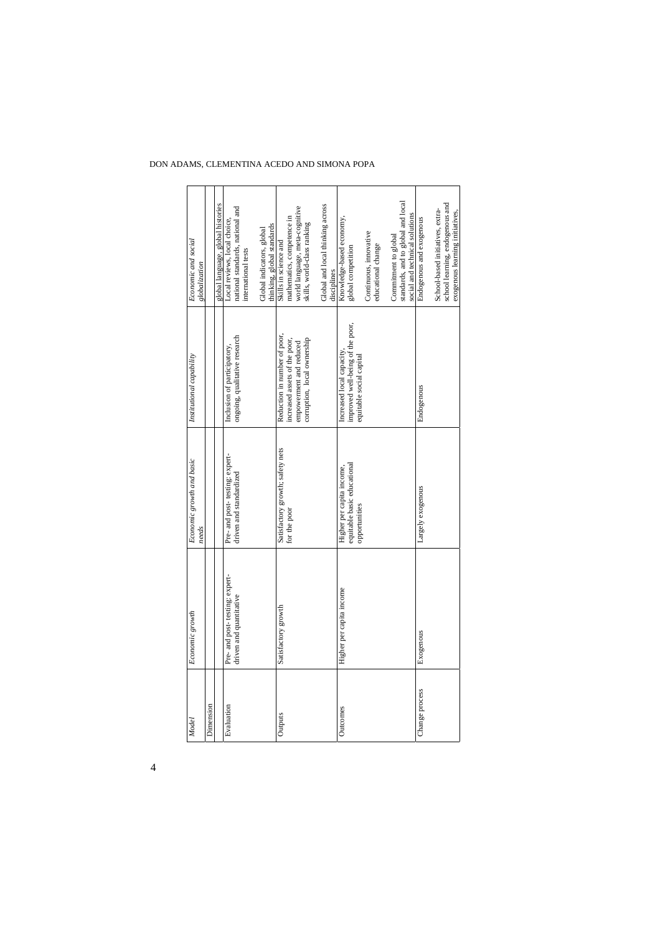| Economic growth and basic<br>needs<br>Economic growth |
|-------------------------------------------------------|
| Institutional capability                              |
| Economic and social<br>globalization                  |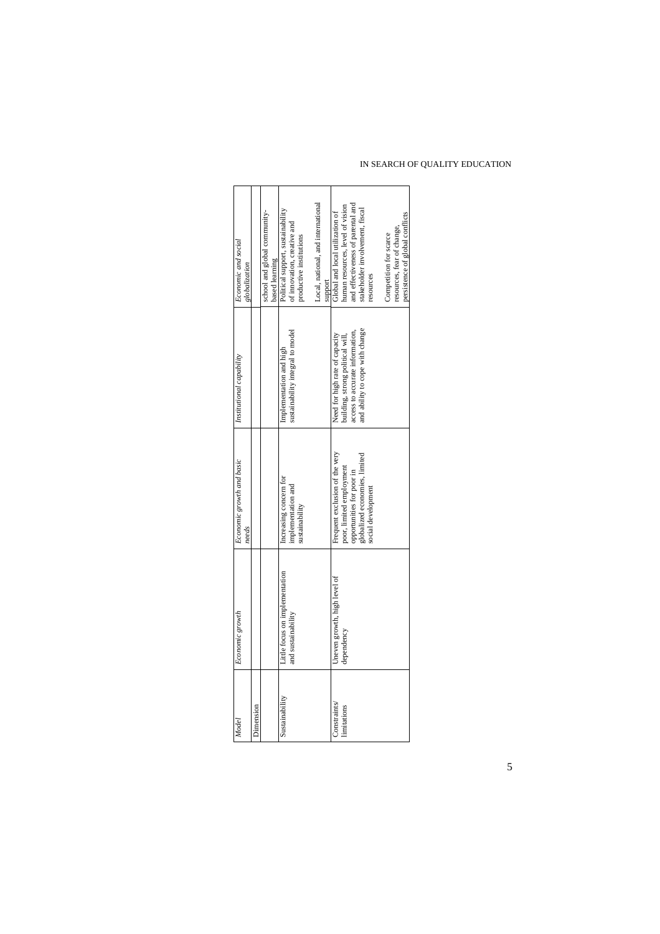| Economic and social<br>globalization<br>Institutional capability<br>Economic growth and basic<br>needs |           | school and global community-<br>based learning | Local, national, and international<br>Political support, sustainability<br>of innovation, creative and<br>productive institutions<br>sustainability integral to model<br>Implementation and high<br>Increasing concern for<br>implementation and<br>sustainability | and effectiveness of parental and<br>human resources, level of vision<br>stakeholder involvement, fiscal<br>Global and local utilization of<br>Competition for scarce<br>resources<br>support<br>and ability to cope with change<br>access to accurate information,<br>building, strong political will,<br>Need for high rate of capacity<br>Frequent exclusion of the very<br>globalized economies, limited<br>poor, limited employment<br>opportunities for poor in<br>social development | persistence of global conflicts<br>resources, fear of change, |
|--------------------------------------------------------------------------------------------------------|-----------|------------------------------------------------|--------------------------------------------------------------------------------------------------------------------------------------------------------------------------------------------------------------------------------------------------------------------|---------------------------------------------------------------------------------------------------------------------------------------------------------------------------------------------------------------------------------------------------------------------------------------------------------------------------------------------------------------------------------------------------------------------------------------------------------------------------------------------|---------------------------------------------------------------|
| Economic growth                                                                                        |           |                                                | Little focus on implementation<br>and sustainability                                                                                                                                                                                                               | Uneven growth, high level of<br>dependency                                                                                                                                                                                                                                                                                                                                                                                                                                                  |                                                               |
| Model                                                                                                  | Dimension |                                                | Sustainability                                                                                                                                                                                                                                                     | Constraints/<br>limitations                                                                                                                                                                                                                                                                                                                                                                                                                                                                 |                                                               |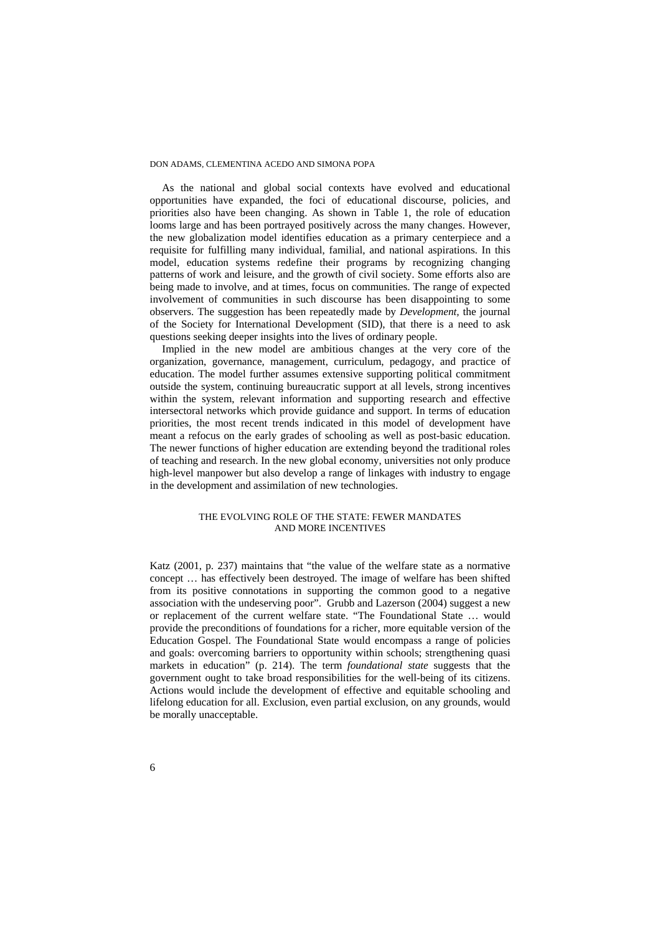As the national and global social contexts have evolved and educational opportunities have expanded, the foci of educational discourse, policies, and priorities also have been changing. As shown in Table 1, the role of education looms large and has been portrayed positively across the many changes. However, the new globalization model identifies education as a primary centerpiece and a requisite for fulfilling many individual, familial, and national aspirations. In this model, education systems redefine their programs by recognizing changing patterns of work and leisure, and the growth of civil society. Some efforts also are being made to involve, and at times, focus on communities. The range of expected involvement of communities in such discourse has been disappointing to some observers. The suggestion has been repeatedly made by *Development,* the journal of the Society for International Development (SID), that there is a need to ask questions seeking deeper insights into the lives of ordinary people.

 Implied in the new model are ambitious changes at the very core of the organization, governance, management, curriculum, pedagogy, and practice of education. The model further assumes extensive supporting political commitment outside the system, continuing bureaucratic support at all levels, strong incentives within the system, relevant information and supporting research and effective intersectoral networks which provide guidance and support. In terms of education priorities, the most recent trends indicated in this model of development have meant a refocus on the early grades of schooling as well as post-basic education. The newer functions of higher education are extending beyond the traditional roles of teaching and research. In the new global economy, universities not only produce high-level manpower but also develop a range of linkages with industry to engage in the development and assimilation of new technologies.

#### THE EVOLVING ROLE OF THE STATE: FEWER MANDATES AND MORE INCENTIVES

Katz (2001, p. 237) maintains that "the value of the welfare state as a normative concept … has effectively been destroyed. The image of welfare has been shifted from its positive connotations in supporting the common good to a negative association with the undeserving poor". Grubb and Lazerson (2004) suggest a new or replacement of the current welfare state. "The Foundational State … would provide the preconditions of foundations for a richer, more equitable version of the Education Gospel. The Foundational State would encompass a range of policies and goals: overcoming barriers to opportunity within schools; strengthening quasi markets in education" (p. 214). The term *foundational state* suggests that the government ought to take broad responsibilities for the well-being of its citizens. Actions would include the development of effective and equitable schooling and lifelong education for all. Exclusion, even partial exclusion, on any grounds, would be morally unacceptable.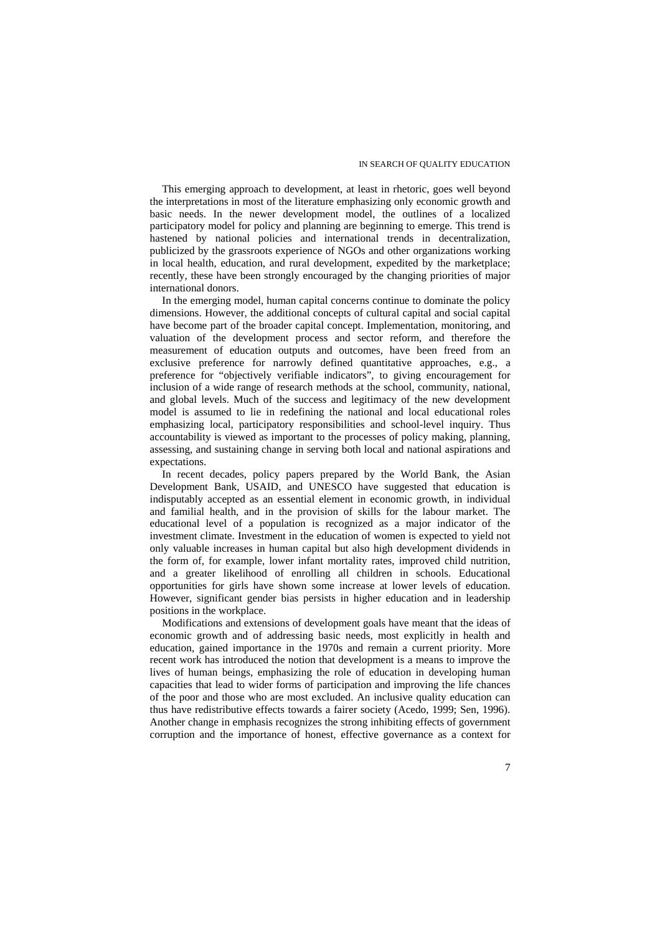This emerging approach to development, at least in rhetoric, goes well beyond the interpretations in most of the literature emphasizing only economic growth and basic needs. In the newer development model, the outlines of a localized participatory model for policy and planning are beginning to emerge. This trend is hastened by national policies and international trends in decentralization, publicized by the grassroots experience of NGOs and other organizations working in local health, education, and rural development, expedited by the marketplace; recently, these have been strongly encouraged by the changing priorities of major international donors.

 In the emerging model, human capital concerns continue to dominate the policy dimensions. However, the additional concepts of cultural capital and social capital have become part of the broader capital concept. Implementation, monitoring, and valuation of the development process and sector reform, and therefore the measurement of education outputs and outcomes, have been freed from an exclusive preference for narrowly defined quantitative approaches, e.g., a preference for "objectively verifiable indicators", to giving encouragement for inclusion of a wide range of research methods at the school, community, national, and global levels. Much of the success and legitimacy of the new development model is assumed to lie in redefining the national and local educational roles emphasizing local, participatory responsibilities and school-level inquiry. Thus accountability is viewed as important to the processes of policy making, planning, assessing, and sustaining change in serving both local and national aspirations and expectations.

 In recent decades, policy papers prepared by the World Bank, the Asian Development Bank, USAID, and UNESCO have suggested that education is indisputably accepted as an essential element in economic growth, in individual and familial health, and in the provision of skills for the labour market. The educational level of a population is recognized as a major indicator of the investment climate. Investment in the education of women is expected to yield not only valuable increases in human capital but also high development dividends in the form of, for example, lower infant mortality rates, improved child nutrition, and a greater likelihood of enrolling all children in schools. Educational opportunities for girls have shown some increase at lower levels of education. However, significant gender bias persists in higher education and in leadership positions in the workplace.

 Modifications and extensions of development goals have meant that the ideas of economic growth and of addressing basic needs, most explicitly in health and education, gained importance in the 1970s and remain a current priority. More recent work has introduced the notion that development is a means to improve the lives of human beings, emphasizing the role of education in developing human capacities that lead to wider forms of participation and improving the life chances of the poor and those who are most excluded. An inclusive quality education can thus have redistributive effects towards a fairer society (Acedo, 1999; Sen, 1996). Another change in emphasis recognizes the strong inhibiting effects of government corruption and the importance of honest, effective governance as a context for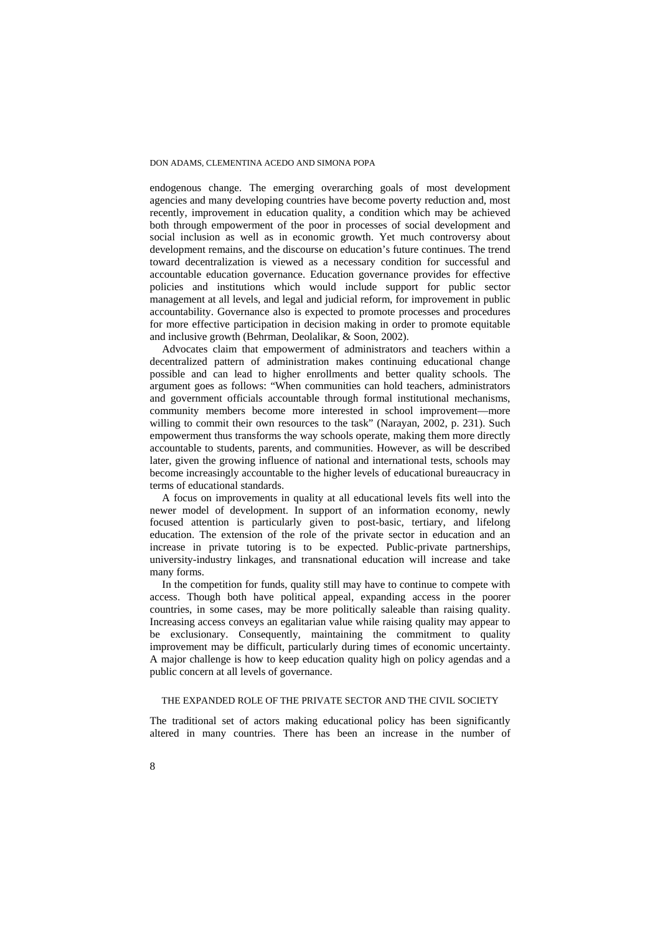endogenous change. The emerging overarching goals of most development agencies and many developing countries have become poverty reduction and, most recently, improvement in education quality, a condition which may be achieved both through empowerment of the poor in processes of social development and social inclusion as well as in economic growth. Yet much controversy about development remains, and the discourse on education's future continues. The trend toward decentralization is viewed as a necessary condition for successful and accountable education governance. Education governance provides for effective policies and institutions which would include support for public sector management at all levels, and legal and judicial reform, for improvement in public accountability. Governance also is expected to promote processes and procedures for more effective participation in decision making in order to promote equitable and inclusive growth (Behrman, Deolalikar, & Soon, 2002).

 Advocates claim that empowerment of administrators and teachers within a decentralized pattern of administration makes continuing educational change possible and can lead to higher enrollments and better quality schools. The argument goes as follows: "When communities can hold teachers, administrators and government officials accountable through formal institutional mechanisms, community members become more interested in school improvement—more willing to commit their own resources to the task" (Narayan, 2002, p. 231). Such empowerment thus transforms the way schools operate, making them more directly accountable to students, parents, and communities. However, as will be described later, given the growing influence of national and international tests, schools may become increasingly accountable to the higher levels of educational bureaucracy in terms of educational standards.

 A focus on improvements in quality at all educational levels fits well into the newer model of development. In support of an information economy, newly focused attention is particularly given to post-basic, tertiary, and lifelong education. The extension of the role of the private sector in education and an increase in private tutoring is to be expected. Public-private partnerships, university-industry linkages, and transnational education will increase and take many forms.

 In the competition for funds, quality still may have to continue to compete with access. Though both have political appeal, expanding access in the poorer countries, in some cases, may be more politically saleable than raising quality. Increasing access conveys an egalitarian value while raising quality may appear to be exclusionary. Consequently, maintaining the commitment to quality improvement may be difficult, particularly during times of economic uncertainty. A major challenge is how to keep education quality high on policy agendas and a public concern at all levels of governance.

#### THE EXPANDED ROLE OF THE PRIVATE SECTOR AND THE CIVIL SOCIETY

The traditional set of actors making educational policy has been significantly altered in many countries. There has been an increase in the number of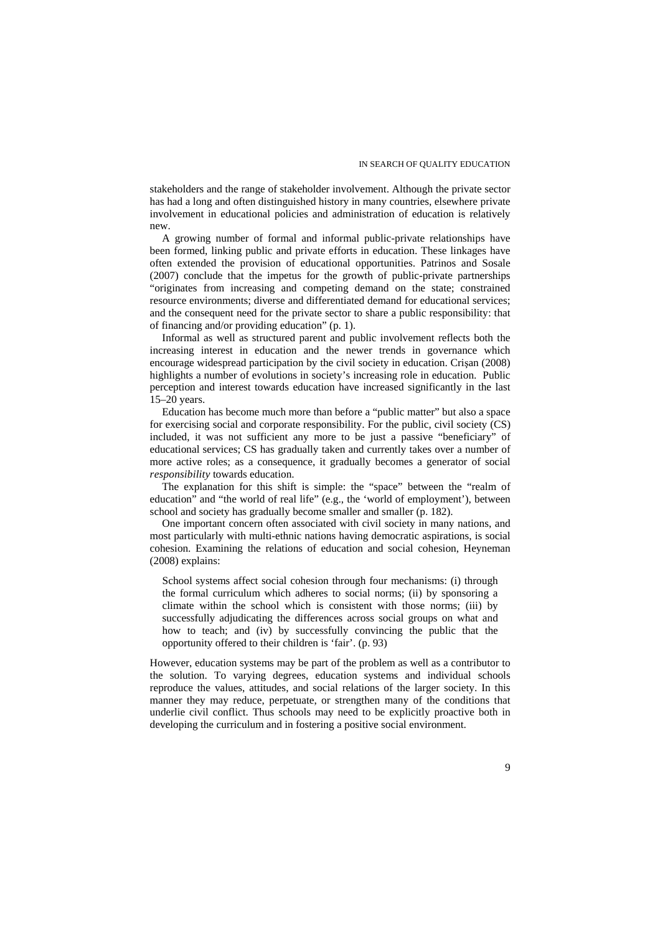stakeholders and the range of stakeholder involvement. Although the private sector has had a long and often distinguished history in many countries, elsewhere private involvement in educational policies and administration of education is relatively new.

 A growing number of formal and informal public-private relationships have been formed, linking public and private efforts in education. These linkages have often extended the provision of educational opportunities. Patrinos and Sosale (2007) conclude that the impetus for the growth of public-private partnerships "originates from increasing and competing demand on the state; constrained resource environments; diverse and differentiated demand for educational services; and the consequent need for the private sector to share a public responsibility: that of financing and/or providing education" (p. 1).

 Informal as well as structured parent and public involvement reflects both the increasing interest in education and the newer trends in governance which encourage widespread participation by the civil society in education. Crişan (2008) highlights a number of evolutions in society's increasing role in education. Public perception and interest towards education have increased significantly in the last 15–20 years.

 Education has become much more than before a "public matter" but also a space for exercising social and corporate responsibility. For the public, civil society (CS) included, it was not sufficient any more to be just a passive "beneficiary" of educational services; CS has gradually taken and currently takes over a number of more active roles; as a consequence, it gradually becomes a generator of social *responsibility* towards education.

 The explanation for this shift is simple: the "space" between the "realm of education" and "the world of real life" (e.g., the 'world of employment'), between school and society has gradually become smaller and smaller (p. 182).

 One important concern often associated with civil society in many nations, and most particularly with multi-ethnic nations having democratic aspirations, is social cohesion. Examining the relations of education and social cohesion, Heyneman (2008) explains:

School systems affect social cohesion through four mechanisms: (i) through the formal curriculum which adheres to social norms; (ii) by sponsoring a climate within the school which is consistent with those norms; (iii) by successfully adjudicating the differences across social groups on what and how to teach; and (iv) by successfully convincing the public that the opportunity offered to their children is 'fair'. (p. 93)

However, education systems may be part of the problem as well as a contributor to the solution. To varying degrees, education systems and individual schools reproduce the values, attitudes, and social relations of the larger society. In this manner they may reduce, perpetuate, or strengthen many of the conditions that underlie civil conflict. Thus schools may need to be explicitly proactive both in developing the curriculum and in fostering a positive social environment.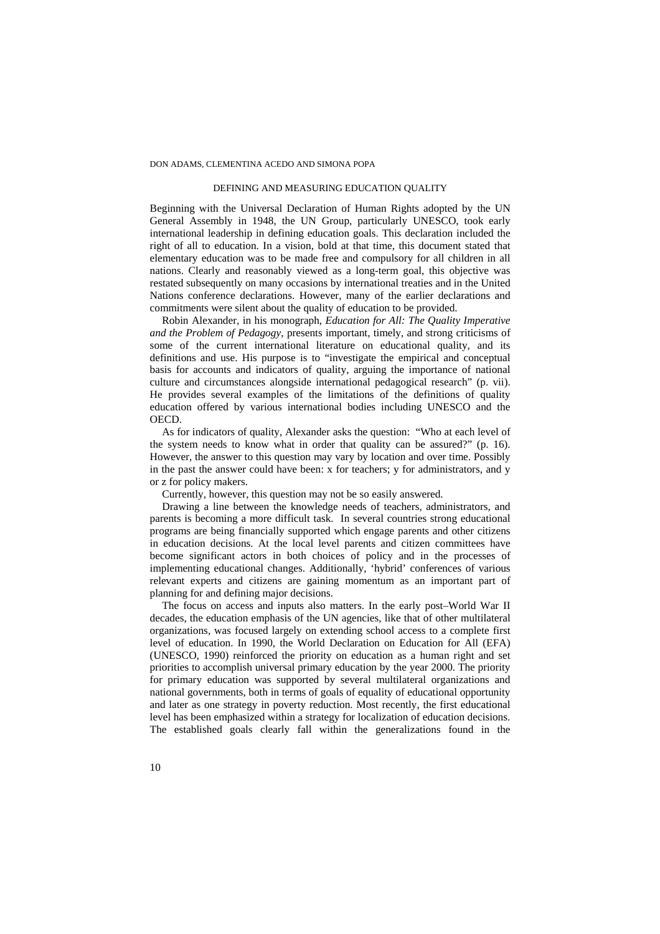#### DEFINING AND MEASURING EDUCATION QUALITY

Beginning with the Universal Declaration of Human Rights adopted by the UN General Assembly in 1948, the UN Group, particularly UNESCO, took early international leadership in defining education goals. This declaration included the right of all to education. In a vision, bold at that time, this document stated that elementary education was to be made free and compulsory for all children in all nations. Clearly and reasonably viewed as a long-term goal, this objective was restated subsequently on many occasions by international treaties and in the United Nations conference declarations. However, many of the earlier declarations and commitments were silent about the quality of education to be provided.

 Robin Alexander, in his monograph, *Education for All: The Quality Imperative and the Problem of Pedagogy*, presents important, timely, and strong criticisms of some of the current international literature on educational quality, and its definitions and use. His purpose is to "investigate the empirical and conceptual basis for accounts and indicators of quality, arguing the importance of national culture and circumstances alongside international pedagogical research" (p. vii). He provides several examples of the limitations of the definitions of quality education offered by various international bodies including UNESCO and the OECD.

 As for indicators of quality, Alexander asks the question: "Who at each level of the system needs to know what in order that quality can be assured?" (p. 16). However, the answer to this question may vary by location and over time. Possibly in the past the answer could have been: x for teachers; y for administrators, and y or z for policy makers.

Currently, however, this question may not be so easily answered.

 Drawing a line between the knowledge needs of teachers, administrators, and parents is becoming a more difficult task. In several countries strong educational programs are being financially supported which engage parents and other citizens in education decisions. At the local level parents and citizen committees have become significant actors in both choices of policy and in the processes of implementing educational changes. Additionally, 'hybrid' conferences of various relevant experts and citizens are gaining momentum as an important part of planning for and defining major decisions.

 The focus on access and inputs also matters. In the early post–World War II decades, the education emphasis of the UN agencies, like that of other multilateral organizations, was focused largely on extending school access to a complete first level of education. In 1990, the World Declaration on Education for All (EFA) (UNESCO, 1990) reinforced the priority on education as a human right and set priorities to accomplish universal primary education by the year 2000. The priority for primary education was supported by several multilateral organizations and national governments, both in terms of goals of equality of educational opportunity and later as one strategy in poverty reduction. Most recently, the first educational level has been emphasized within a strategy for localization of education decisions. The established goals clearly fall within the generalizations found in the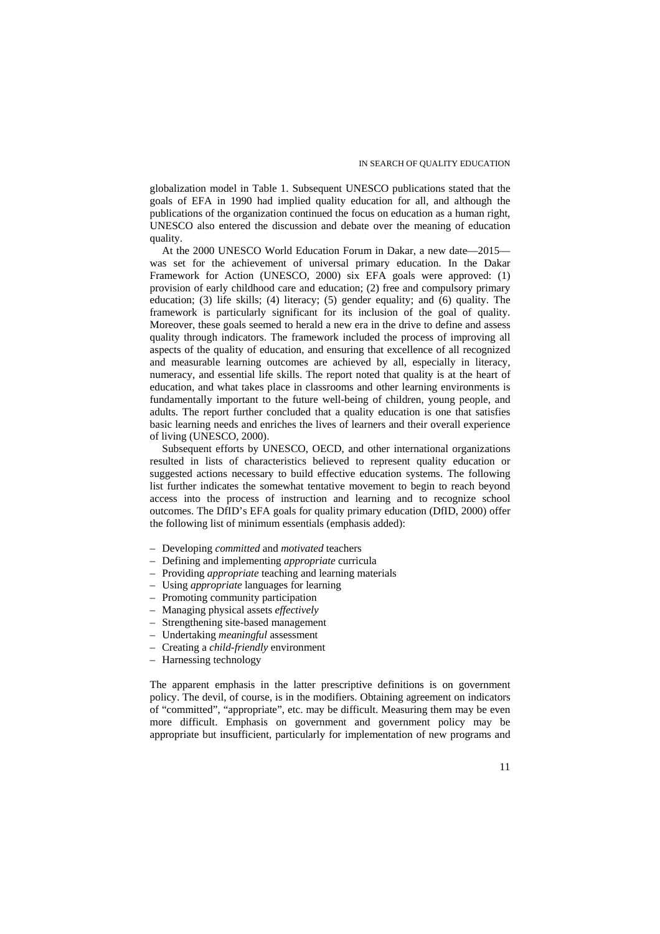globalization model in Table 1. Subsequent UNESCO publications stated that the goals of EFA in 1990 had implied quality education for all, and although the publications of the organization continued the focus on education as a human right, UNESCO also entered the discussion and debate over the meaning of education quality.

 At the 2000 UNESCO World Education Forum in Dakar, a new date—2015 was set for the achievement of universal primary education. In the Dakar Framework for Action (UNESCO, 2000) six EFA goals were approved: (1) provision of early childhood care and education; (2) free and compulsory primary education; (3) life skills; (4) literacy; (5) gender equality; and (6) quality. The framework is particularly significant for its inclusion of the goal of quality. Moreover, these goals seemed to herald a new era in the drive to define and assess quality through indicators. The framework included the process of improving all aspects of the quality of education, and ensuring that excellence of all recognized and measurable learning outcomes are achieved by all, especially in literacy, numeracy, and essential life skills. The report noted that quality is at the heart of education, and what takes place in classrooms and other learning environments is fundamentally important to the future well-being of children, young people, and adults. The report further concluded that a quality education is one that satisfies basic learning needs and enriches the lives of learners and their overall experience of living (UNESCO, 2000).

 Subsequent efforts by UNESCO, OECD, and other international organizations resulted in lists of characteristics believed to represent quality education or suggested actions necessary to build effective education systems. The following list further indicates the somewhat tentative movement to begin to reach beyond access into the process of instruction and learning and to recognize school outcomes. The DfID's EFA goals for quality primary education (DfID, 2000) offer the following list of minimum essentials (emphasis added):

- Developing *committed* and *motivated* teachers
- Defining and implementing *appropriate* curricula
- Providing *appropriate* teaching and learning materials
- Using *appropriate* languages for learning
- Promoting community participation
- Managing physical assets *effectively*
- Strengthening site-based management
- Undertaking *meaningful* assessment
- Creating a *child-friendly* environment
- Harnessing technology

The apparent emphasis in the latter prescriptive definitions is on government policy. The devil, of course, is in the modifiers. Obtaining agreement on indicators of "committed", "appropriate", etc. may be difficult. Measuring them may be even more difficult. Emphasis on government and government policy may be appropriate but insufficient, particularly for implementation of new programs and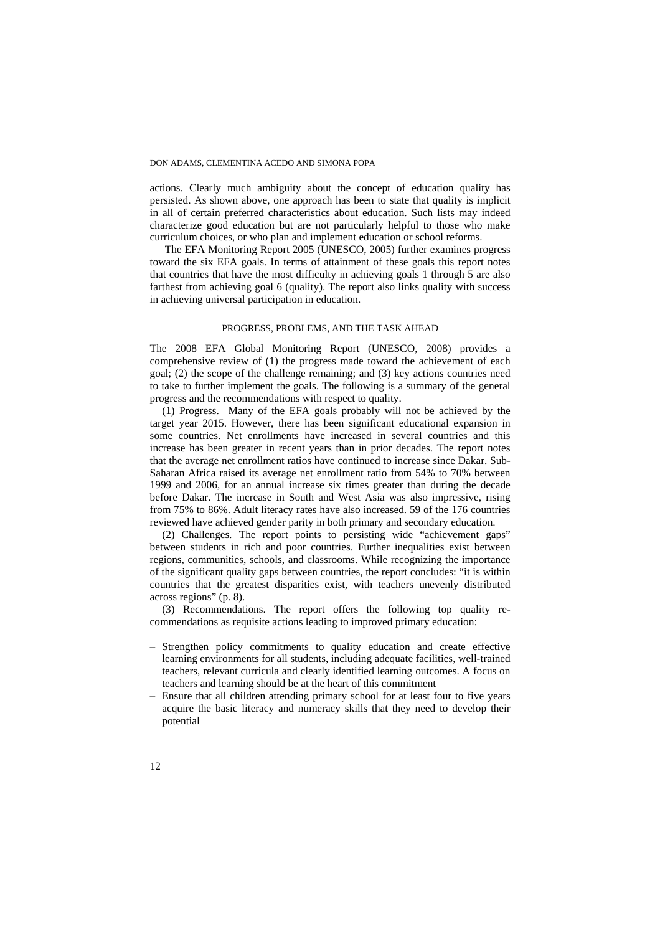actions. Clearly much ambiguity about the concept of education quality has persisted. As shown above, one approach has been to state that quality is implicit in all of certain preferred characteristics about education. Such lists may indeed characterize good education but are not particularly helpful to those who make curriculum choices, or who plan and implement education or school reforms.

 The EFA Monitoring Report 2005 (UNESCO, 2005) further examines progress toward the six EFA goals. In terms of attainment of these goals this report notes that countries that have the most difficulty in achieving goals 1 through 5 are also farthest from achieving goal 6 (quality). The report also links quality with success in achieving universal participation in education.

#### PROGRESS, PROBLEMS, AND THE TASK AHEAD

The 2008 EFA Global Monitoring Report (UNESCO, 2008) provides a comprehensive review of (1) the progress made toward the achievement of each goal; (2) the scope of the challenge remaining; and (3) key actions countries need to take to further implement the goals. The following is a summary of the general progress and the recommendations with respect to quality.

(1) Progress. Many of the EFA goals probably will not be achieved by the target year 2015. However, there has been significant educational expansion in some countries. Net enrollments have increased in several countries and this increase has been greater in recent years than in prior decades. The report notes that the average net enrollment ratios have continued to increase since Dakar. Sub-Saharan Africa raised its average net enrollment ratio from 54% to 70% between 1999 and 2006, for an annual increase six times greater than during the decade before Dakar. The increase in South and West Asia was also impressive, rising from 75% to 86%. Adult literacy rates have also increased. 59 of the 176 countries reviewed have achieved gender parity in both primary and secondary education.

 (2) Challenges*.* The report points to persisting wide "achievement gaps" between students in rich and poor countries. Further inequalities exist between regions, communities, schools, and classrooms. While recognizing the importance of the significant quality gaps between countries, the report concludes: "it is within countries that the greatest disparities exist, with teachers unevenly distributed across regions" (p. 8).

 (3) Recommendations. The report offers the following top quality recommendations as requisite actions leading to improved primary education:

- Strengthen policy commitments to quality education and create effective learning environments for all students, including adequate facilities, well-trained teachers, relevant curricula and clearly identified learning outcomes. A focus on teachers and learning should be at the heart of this commitment
- Ensure that all children attending primary school for at least four to five years acquire the basic literacy and numeracy skills that they need to develop their potential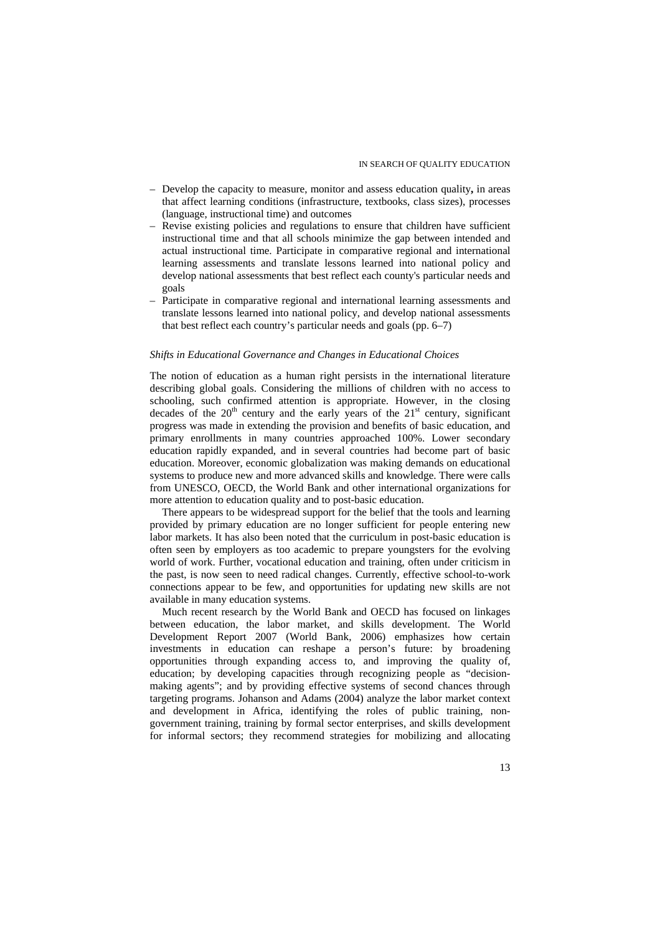- Develop the capacity to measure, monitor and assess education quality**,** in areas that affect learning conditions (infrastructure, textbooks, class sizes), processes (language, instructional time) and outcomes
- Revise existing policies and regulations to ensure that children have sufficient instructional time and that all schools minimize the gap between intended and actual instructional time. Participate in comparative regional and international learning assessments and translate lessons learned into national policy and develop national assessments that best reflect each county's particular needs and goals
- Participate in comparative regional and international learning assessments and translate lessons learned into national policy, and develop national assessments that best reflect each country's particular needs and goals (pp. 6–7)

#### *Shifts in Educational Governance and Changes in Educational Choices*

The notion of education as a human right persists in the international literature describing global goals. Considering the millions of children with no access to schooling, such confirmed attention is appropriate. However, in the closing decades of the  $20<sup>th</sup>$  century and the early years of the  $21<sup>st</sup>$  century, significant progress was made in extending the provision and benefits of basic education, and primary enrollments in many countries approached 100%. Lower secondary education rapidly expanded, and in several countries had become part of basic education. Moreover, economic globalization was making demands on educational systems to produce new and more advanced skills and knowledge. There were calls from UNESCO, OECD, the World Bank and other international organizations for more attention to education quality and to post-basic education.

There appears to be widespread support for the belief that the tools and learning provided by primary education are no longer sufficient for people entering new labor markets. It has also been noted that the curriculum in post-basic education is often seen by employers as too academic to prepare youngsters for the evolving world of work. Further, vocational education and training, often under criticism in the past, is now seen to need radical changes. Currently, effective school-to-work connections appear to be few, and opportunities for updating new skills are not available in many education systems.

 Much recent research by the World Bank and OECD has focused on linkages between education, the labor market, and skills development. The World Development Report 2007 (World Bank, 2006) emphasizes how certain investments in education can reshape a person's future: by broadening opportunities through expanding access to, and improving the quality of, education; by developing capacities through recognizing people as "decisionmaking agents"; and by providing effective systems of second chances through targeting programs. Johanson and Adams (2004) analyze the labor market context and development in Africa, identifying the roles of public training, nongovernment training, training by formal sector enterprises, and skills development for informal sectors; they recommend strategies for mobilizing and allocating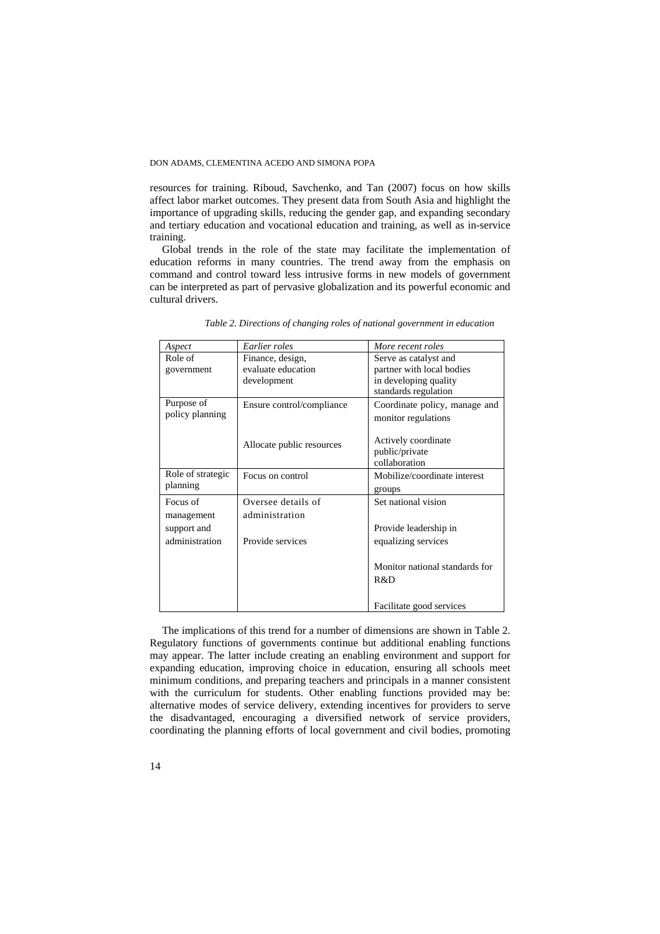resources for training. Riboud, Savchenko, and Tan (2007) focus on how skills affect labor market outcomes. They present data from South Asia and highlight the importance of upgrading skills, reducing the gender gap, and expanding secondary and tertiary education and vocational education and training, as well as in-service training.

 Global trends in the role of the state may facilitate the implementation of education reforms in many countries. The trend away from the emphasis on command and control toward less intrusive forms in new models of government can be interpreted as part of pervasive globalization and its powerful economic and cultural drivers.

| Aspect            | Earlier roles             | More recent roles                                      |
|-------------------|---------------------------|--------------------------------------------------------|
| Role of           | Finance, design,          | Serve as catalyst and                                  |
| government        | evaluate education        | partner with local bodies                              |
|                   | development               | in developing quality                                  |
|                   |                           | standards regulation                                   |
| Purpose of        | Ensure control/compliance | Coordinate policy, manage and                          |
| policy planning   |                           | monitor regulations                                    |
|                   | Allocate public resources | Actively coordinate<br>public/private<br>collaboration |
| Role of strategic | Focus on control          | Mobilize/coordinate interest                           |
| planning          |                           | groups                                                 |
| Focus of          | Oversee details of        | Set national vision                                    |
| management        | administration            |                                                        |
| support and       |                           | Provide leadership in                                  |
| administration    | Provide services          | equalizing services                                    |
|                   |                           |                                                        |
|                   |                           | Monitor national standards for                         |
|                   |                           | $R\&D$                                                 |
|                   |                           | Facilitate good services                               |

*Table 2. Directions of changing roles of national government in education* 

 The implications of this trend for a number of dimensions are shown in Table 2. Regulatory functions of governments continue but additional enabling functions may appear. The latter include creating an enabling environment and support for expanding education, improving choice in education, ensuring all schools meet minimum conditions, and preparing teachers and principals in a manner consistent with the curriculum for students. Other enabling functions provided may be: alternative modes of service delivery, extending incentives for providers to serve the disadvantaged, encouraging a diversified network of service providers, coordinating the planning efforts of local government and civil bodies, promoting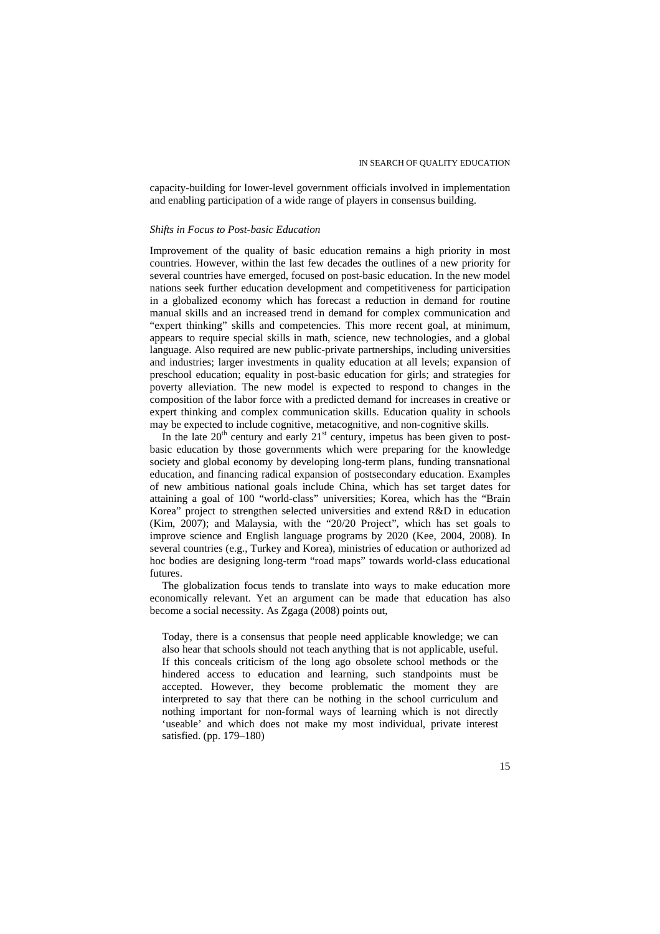capacity-building for lower-level government officials involved in implementation and enabling participation of a wide range of players in consensus building.

#### *Shifts in Focus to Post-basic Education*

Improvement of the quality of basic education remains a high priority in most countries. However, within the last few decades the outlines of a new priority for several countries have emerged, focused on post-basic education. In the new model nations seek further education development and competitiveness for participation in a globalized economy which has forecast a reduction in demand for routine manual skills and an increased trend in demand for complex communication and "expert thinking" skills and competencies. This more recent goal, at minimum, appears to require special skills in math, science, new technologies, and a global language. Also required are new public-private partnerships, including universities and industries; larger investments in quality education at all levels; expansion of preschool education; equality in post-basic education for girls; and strategies for poverty alleviation. The new model is expected to respond to changes in the composition of the labor force with a predicted demand for increases in creative or expert thinking and complex communication skills. Education quality in schools may be expected to include cognitive, metacognitive, and non-cognitive skills.

In the late  $20<sup>th</sup>$  century and early  $21<sup>st</sup>$  century, impetus has been given to postbasic education by those governments which were preparing for the knowledge society and global economy by developing long-term plans, funding transnational education, and financing radical expansion of postsecondary education. Examples of new ambitious national goals include China, which has set target dates for attaining a goal of 100 "world-class" universities; Korea, which has the "Brain Korea" project to strengthen selected universities and extend R&D in education (Kim, 2007); and Malaysia, with the "20/20 Project", which has set goals to improve science and English language programs by 2020 (Kee, 2004, 2008). In several countries (e.g., Turkey and Korea), ministries of education or authorized ad hoc bodies are designing long-term "road maps" towards world-class educational futures.

 The globalization focus tends to translate into ways to make education more economically relevant. Yet an argument can be made that education has also become a social necessity. As Zgaga (2008) points out,

Today, there is a consensus that people need applicable knowledge; we can also hear that schools should not teach anything that is not applicable, useful. If this conceals criticism of the long ago obsolete school methods or the hindered access to education and learning, such standpoints must be accepted. However, they become problematic the moment they are interpreted to say that there can be nothing in the school curriculum and nothing important for non-formal ways of learning which is not directly 'useable' and which does not make my most individual, private interest satisfied. (pp. 179–180)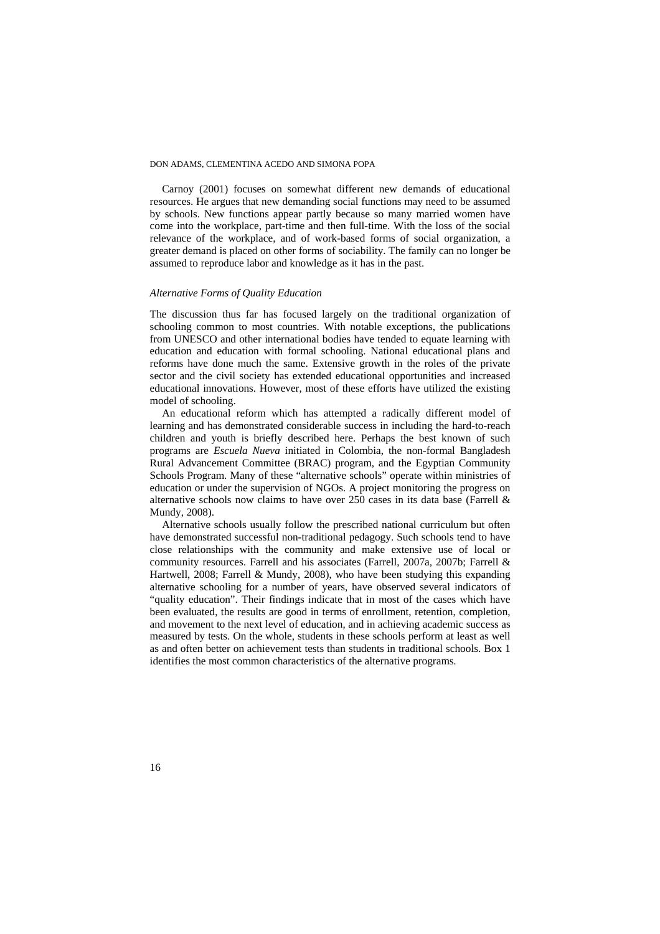Carnoy (2001) focuses on somewhat different new demands of educational resources. He argues that new demanding social functions may need to be assumed by schools. New functions appear partly because so many married women have come into the workplace, part-time and then full-time. With the loss of the social relevance of the workplace, and of work-based forms of social organization, a greater demand is placed on other forms of sociability. The family can no longer be assumed to reproduce labor and knowledge as it has in the past.

#### *Alternative Forms of Quality Education*

The discussion thus far has focused largely on the traditional organization of schooling common to most countries. With notable exceptions, the publications from UNESCO and other international bodies have tended to equate learning with education and education with formal schooling. National educational plans and reforms have done much the same. Extensive growth in the roles of the private sector and the civil society has extended educational opportunities and increased educational innovations. However, most of these efforts have utilized the existing model of schooling.

 An educational reform which has attempted a radically different model of learning and has demonstrated considerable success in including the hard-to-reach children and youth is briefly described here. Perhaps the best known of such programs are *Escuela Nueva* initiated in Colombia, the non-formal Bangladesh Rural Advancement Committee (BRAC) program, and the Egyptian Community Schools Program. Many of these "alternative schools" operate within ministries of education or under the supervision of NGOs. A project monitoring the progress on alternative schools now claims to have over 250 cases in its data base (Farrell  $\&$ Mundy, 2008).

 Alternative schools usually follow the prescribed national curriculum but often have demonstrated successful non-traditional pedagogy. Such schools tend to have close relationships with the community and make extensive use of local or community resources. Farrell and his associates (Farrell, 2007a, 2007b; Farrell & Hartwell, 2008; Farrell & Mundy, 2008), who have been studying this expanding alternative schooling for a number of years, have observed several indicators of "quality education". Their findings indicate that in most of the cases which have been evaluated, the results are good in terms of enrollment, retention, completion, and movement to the next level of education, and in achieving academic success as measured by tests. On the whole, students in these schools perform at least as well as and often better on achievement tests than students in traditional schools. Box 1 identifies the most common characteristics of the alternative programs.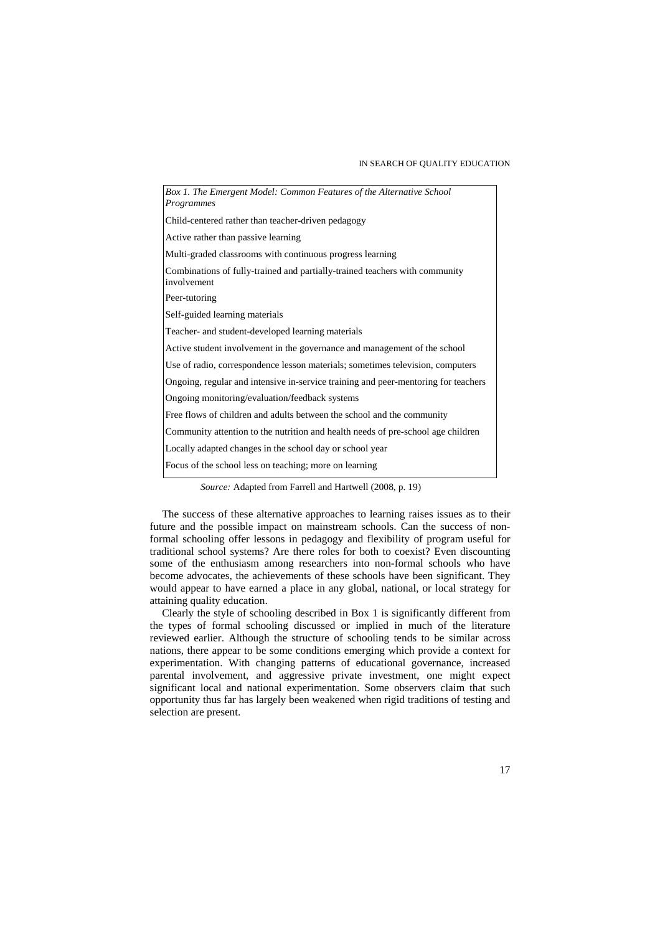| Box 1. The Emergent Model: Common Features of the Alternative School<br>Programmes         |
|--------------------------------------------------------------------------------------------|
| Child-centered rather than teacher-driven pedagogy                                         |
| Active rather than passive learning                                                        |
| Multi-graded classrooms with continuous progress learning                                  |
| Combinations of fully-trained and partially-trained teachers with community<br>involvement |
| Peer-tutoring                                                                              |
| Self-guided learning materials                                                             |
| Teacher- and student-developed learning materials                                          |
| Active student involvement in the governance and management of the school                  |
| Use of radio, correspondence lesson materials; sometimes television, computers             |
| Ongoing, regular and intensive in-service training and peer-mentoring for teachers         |
| Ongoing monitoring/evaluation/feedback systems                                             |
| Free flows of children and adults between the school and the community                     |
| Community attention to the nutrition and health needs of pre-school age children           |
| Locally adapted changes in the school day or school year                                   |
| Focus of the school less on teaching; more on learning                                     |

#### *Source:* Adapted from Farrell and Hartwell (2008, p. 19)

 The success of these alternative approaches to learning raises issues as to their future and the possible impact on mainstream schools. Can the success of nonformal schooling offer lessons in pedagogy and flexibility of program useful for traditional school systems? Are there roles for both to coexist? Even discounting some of the enthusiasm among researchers into non-formal schools who have become advocates, the achievements of these schools have been significant. They would appear to have earned a place in any global, national, or local strategy for attaining quality education.

 Clearly the style of schooling described in Box 1 is significantly different from the types of formal schooling discussed or implied in much of the literature reviewed earlier. Although the structure of schooling tends to be similar across nations, there appear to be some conditions emerging which provide a context for experimentation. With changing patterns of educational governance, increased parental involvement, and aggressive private investment, one might expect significant local and national experimentation. Some observers claim that such opportunity thus far has largely been weakened when rigid traditions of testing and selection are present.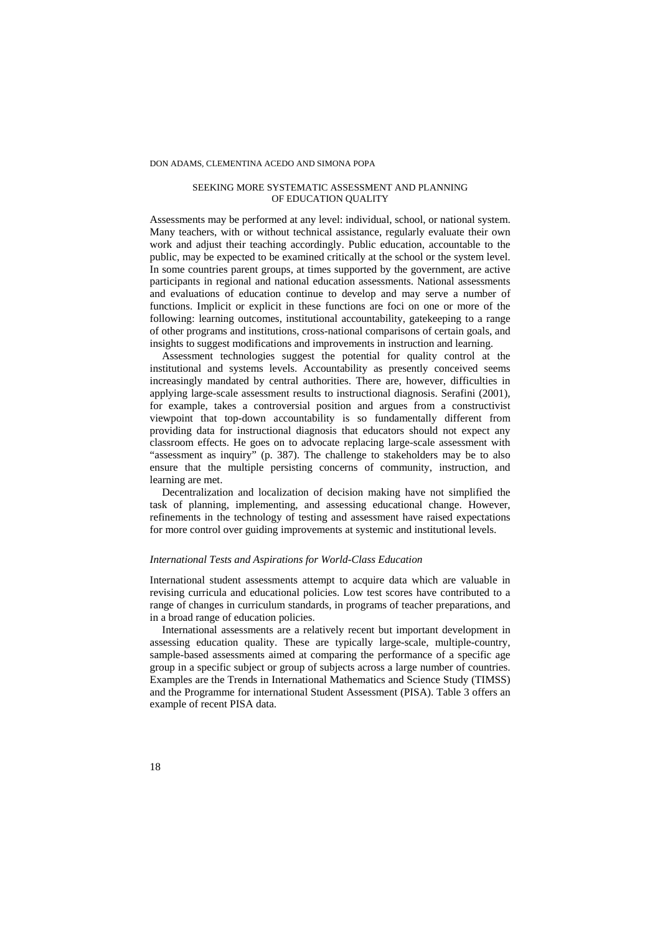#### SEEKING MORE SYSTEMATIC ASSESSMENT AND PLANNING OF EDUCATION QUALITY

Assessments may be performed at any level: individual, school, or national system. Many teachers, with or without technical assistance, regularly evaluate their own work and adjust their teaching accordingly. Public education, accountable to the public, may be expected to be examined critically at the school or the system level. In some countries parent groups, at times supported by the government, are active participants in regional and national education assessments. National assessments and evaluations of education continue to develop and may serve a number of functions. Implicit or explicit in these functions are foci on one or more of the following: learning outcomes, institutional accountability, gatekeeping to a range of other programs and institutions, cross-national comparisons of certain goals, and insights to suggest modifications and improvements in instruction and learning.

 Assessment technologies suggest the potential for quality control at the institutional and systems levels. Accountability as presently conceived seems increasingly mandated by central authorities. There are, however, difficulties in applying large-scale assessment results to instructional diagnosis. Serafini (2001), for example, takes a controversial position and argues from a constructivist viewpoint that top-down accountability is so fundamentally different from providing data for instructional diagnosis that educators should not expect any classroom effects. He goes on to advocate replacing large-scale assessment with "assessment as inquiry" (p. 387). The challenge to stakeholders may be to also ensure that the multiple persisting concerns of community, instruction, and learning are met.

 Decentralization and localization of decision making have not simplified the task of planning, implementing, and assessing educational change. However, refinements in the technology of testing and assessment have raised expectations for more control over guiding improvements at systemic and institutional levels.

#### *International Tests and Aspirations for World-Class Education*

International student assessments attempt to acquire data which are valuable in revising curricula and educational policies. Low test scores have contributed to a range of changes in curriculum standards, in programs of teacher preparations, and in a broad range of education policies.

 International assessments are a relatively recent but important development in assessing education quality. These are typically large-scale, multiple-country, sample-based assessments aimed at comparing the performance of a specific age group in a specific subject or group of subjects across a large number of countries. Examples are the Trends in International Mathematics and Science Study (TIMSS) and the Programme for international Student Assessment (PISA). Table 3 offers an example of recent PISA data.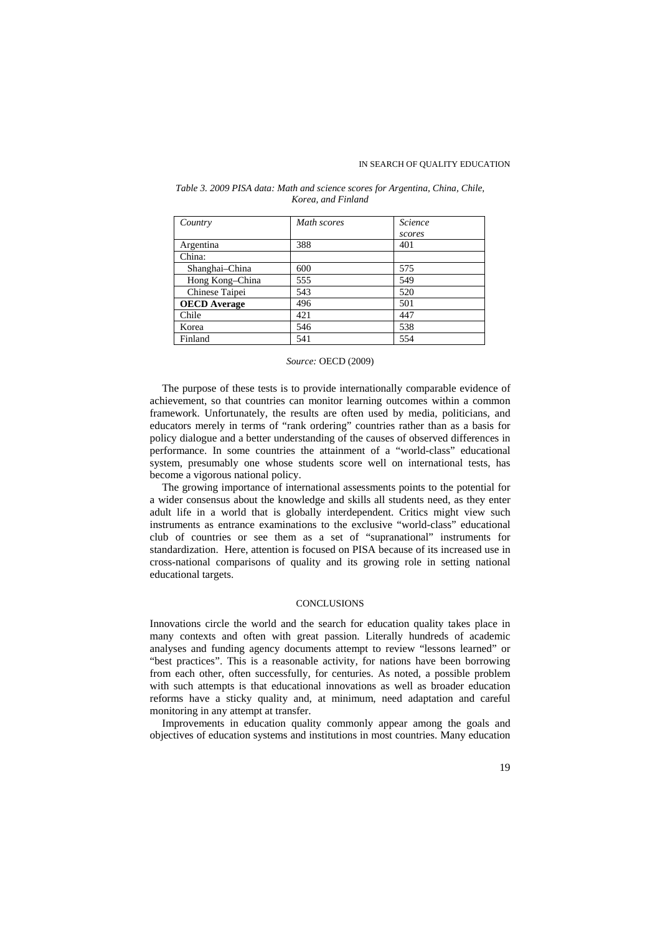| Country             | Math scores | Science |
|---------------------|-------------|---------|
|                     |             | scores  |
| Argentina           | 388         | 401     |
| China:              |             |         |
| Shanghai-China      | 600         | 575     |
| Hong Kong-China     | 555         | 549     |
| Chinese Taipei      | 543         | 520     |
| <b>OECD</b> Average | 496         | 501     |
| Chile               | 421         | 447     |
| Korea               | 546         | 538     |
| Finland             | 541         | 554     |

*Table 3. 2009 PISA data: Math and science scores for Argentina, China, Chile, Korea, and Finland* 

#### *Source:* OECD (2009)

 The purpose of these tests is to provide internationally comparable evidence of achievement, so that countries can monitor learning outcomes within a common framework. Unfortunately, the results are often used by media, politicians, and educators merely in terms of "rank ordering" countries rather than as a basis for policy dialogue and a better understanding of the causes of observed differences in performance. In some countries the attainment of a "world-class" educational system, presumably one whose students score well on international tests, has become a vigorous national policy.

 The growing importance of international assessments points to the potential for a wider consensus about the knowledge and skills all students need, as they enter adult life in a world that is globally interdependent. Critics might view such instruments as entrance examinations to the exclusive "world-class" educational club of countries or see them as a set of "supranational" instruments for standardization. Here, attention is focused on PISA because of its increased use in cross-national comparisons of quality and its growing role in setting national educational targets.

#### **CONCLUSIONS**

Innovations circle the world and the search for education quality takes place in many contexts and often with great passion. Literally hundreds of academic analyses and funding agency documents attempt to review "lessons learned" or "best practices". This is a reasonable activity, for nations have been borrowing from each other, often successfully, for centuries. As noted, a possible problem with such attempts is that educational innovations as well as broader education reforms have a sticky quality and, at minimum, need adaptation and careful monitoring in any attempt at transfer.

 Improvements in education quality commonly appear among the goals and objectives of education systems and institutions in most countries. Many education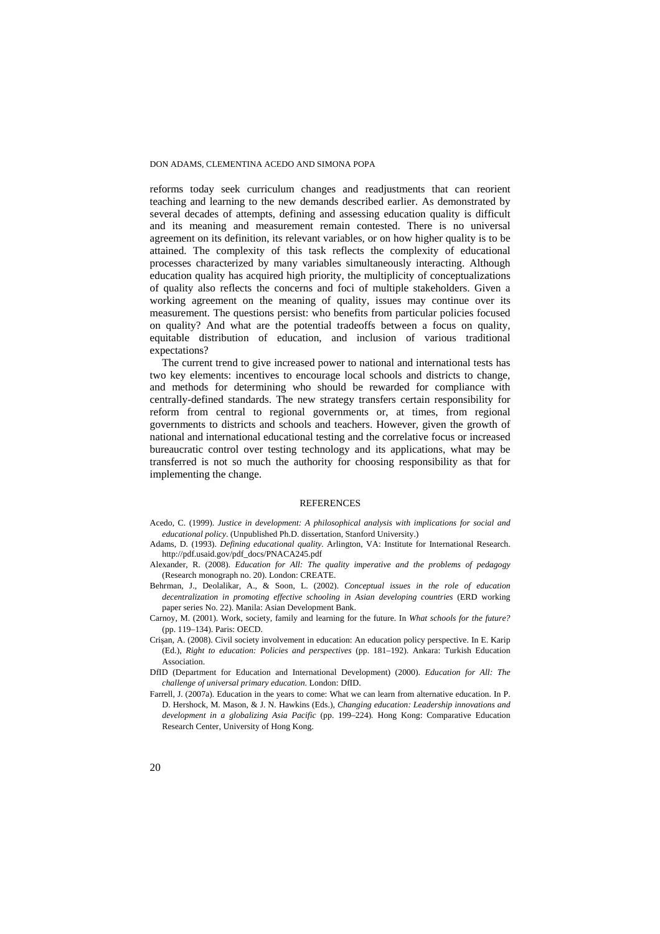reforms today seek curriculum changes and readjustments that can reorient teaching and learning to the new demands described earlier. As demonstrated by several decades of attempts, defining and assessing education quality is difficult and its meaning and measurement remain contested. There is no universal agreement on its definition, its relevant variables, or on how higher quality is to be attained. The complexity of this task reflects the complexity of educational processes characterized by many variables simultaneously interacting. Although education quality has acquired high priority, the multiplicity of conceptualizations of quality also reflects the concerns and foci of multiple stakeholders. Given a working agreement on the meaning of quality, issues may continue over its measurement. The questions persist: who benefits from particular policies focused on quality? And what are the potential tradeoffs between a focus on quality, equitable distribution of education, and inclusion of various traditional expectations?

 The current trend to give increased power to national and international tests has two key elements: incentives to encourage local schools and districts to change, and methods for determining who should be rewarded for compliance with centrally-defined standards. The new strategy transfers certain responsibility for reform from central to regional governments or, at times, from regional governments to districts and schools and teachers. However, given the growth of national and international educational testing and the correlative focus or increased bureaucratic control over testing technology and its applications, what may be transferred is not so much the authority for choosing responsibility as that for implementing the change.

#### REFERENCES

- Acedo, C. (1999). *Justice in development: A philosophical analysis with implications for social and educational policy*. (Unpublished Ph.D. dissertation, Stanford University.)
- Adams, D. (1993). *Defining educational quality.* Arlington, VA: Institute for International Research. http://pdf.usaid.gov/pdf\_docs/PNACA245.pdf
- Alexander, R. (2008). *Education for All: The quality imperative and the problems of pedagogy*  (Research monograph no. 20). London: CREATE.
- Behrman, J., Deolalikar, A., & Soon, L. (2002). *Conceptual issues in the role of education decentralization in promoting effective schooling in Asian developing countries* (ERD working paper series No. 22). Manila: Asian Development Bank.
- Carnoy, M. (2001). Work, society, family and learning for the future. In *What schools for the future?*  (pp. 119–134). Paris: OECD.
- Crişan, A. (2008). Civil society involvement in education: An education policy perspective. In E. Karip (Ed.), *Right to education: Policies and perspectives* (pp. 181–192). Ankara: Turkish Education Association.
- DfID (Department for Education and International Development) (2000). *Education for All: The challenge of universal primary education*. London: DfID.
- Farrell, J. (2007a). Education in the years to come: What we can learn from alternative education. In P. D. Hershock, M. Mason, & J. N. Hawkins (Eds.), *Changing education: Leadership innovations and development in a globalizing Asia Pacific* (pp. 199–224)*.* Hong Kong: Comparative Education Research Center, University of Hong Kong.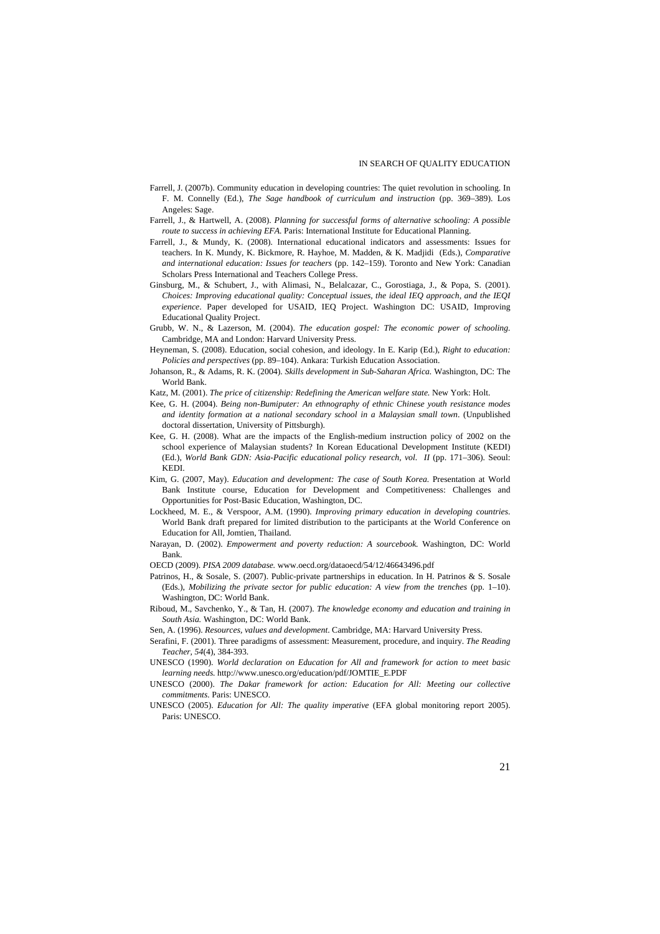- Farrell, J. (2007b). Community education in developing countries: The quiet revolution in schooling. In F. M. Connelly (Ed.), *The Sage handbook of curriculum and instruction* (pp. 369–389). Los Angeles: Sage.
- Farrell, J., & Hartwell, A. (2008). *Planning for successful forms of alternative schooling: A possible route to success in achieving EFA.* Paris: International Institute for Educational Planning.
- Farrell, J., & Mundy, K. (2008). International educational indicators and assessments: Issues for teachers. In K. Mundy, K. Bickmore, R. Hayhoe, M. Madden, & K. Madjidi (Eds.), *Comparative and international education: Issues for teachers* (pp. 142–159). Toronto and New York: Canadian Scholars Press International and Teachers College Press.
- Ginsburg, M., & Schubert, J., with Alimasi, N., Belalcazar, C., Gorostiaga, J., & Popa, S. (2001). *Choices: Improving educational quality: Conceptual issues, the ideal IEQ approach, and the IEQI experience*. Paper developed for USAID, IEQ Project. Washington DC: USAID, Improving Educational Quality Project.
- Grubb, W. N., & Lazerson, M. (2004). *The education gospel: The economic power of schooling.*  Cambridge, MA and London: Harvard University Press.
- Heyneman, S. (2008). Education, social cohesion, and ideology. In E. Karip (Ed.), *Right to education: Policies and perspectives* (pp. 89–104). Ankara: Turkish Education Association.
- Johanson, R., & Adams, R. K. (2004). *Skills development in Sub-Saharan Africa.* Washington, DC: The World Bank.
- Katz, M. (2001). *The price of citizenship: Redefining the American welfare state.* New York: Holt.
- Kee, G. H. (2004). *Being non-Bumiputer: An ethnography of ethnic Chinese youth resistance modes and identity formation at a national secondary school in a Malaysian small town*. (Unpublished doctoral dissertation, University of Pittsburgh).
- Kee, G. H. (2008). What are the impacts of the English-medium instruction policy of 2002 on the school experience of Malaysian students? In Korean Educational Development Institute (KEDI) (Ed.), *World Bank GDN: Asia-Pacific educational policy research, vol. II* (pp. 171–306). Seoul: KEDI.
- Kim, G. (2007, May). *Education and development: The case of South Korea.* Presentation at World Bank Institute course, Education for Development and Competitiveness: Challenges and Opportunities for Post-Basic Education, Washington, DC.
- Lockheed, M. E., & Verspoor, A.M. (1990). *Improving primary education in developing countries*. World Bank draft prepared for limited distribution to the participants at the World Conference on Education for All, Jomtien, Thailand.
- Narayan, D. (2002). *Empowerment and poverty reduction: A sourcebook.* Washington, DC: World Bank*.*
- OECD (2009). *PISA 2009 database.* www.oecd.org/dataoecd/54/12/46643496.pdf
- Patrinos, H., & Sosale, S. (2007). Public-private partnerships in education. In H. Patrinos & S. Sosale (Eds.), *Mobilizing the private sector for public education: A view from the trenches* (pp. 1–10). Washington, DC: World Bank.
- Riboud, M., Savchenko, Y., & Tan, H. (2007). *The knowledge economy and education and training in South Asia.* Washington, DC: World Bank.
- Sen, A. (1996). *Resources, values and development*. Cambridge, MA: Harvard University Press.
- Serafini, F. (2001). Three paradigms of assessment: Measurement, procedure, and inquiry. *The Reading Teacher, 54*(4), 384-393.
- UNESCO (1990). *World declaration on Education for All and framework for action to meet basic learning needs.* http://www.unesco.org/education/pdf/JOMTIE\_E.PDF
- UNESCO (2000). *The Dakar framework for action: Education for All: Meeting our collective commitments.* Paris: UNESCO.
- UNESCO (2005). *Education for All: The quality imperative* (EFA global monitoring report 2005). Paris: UNESCO.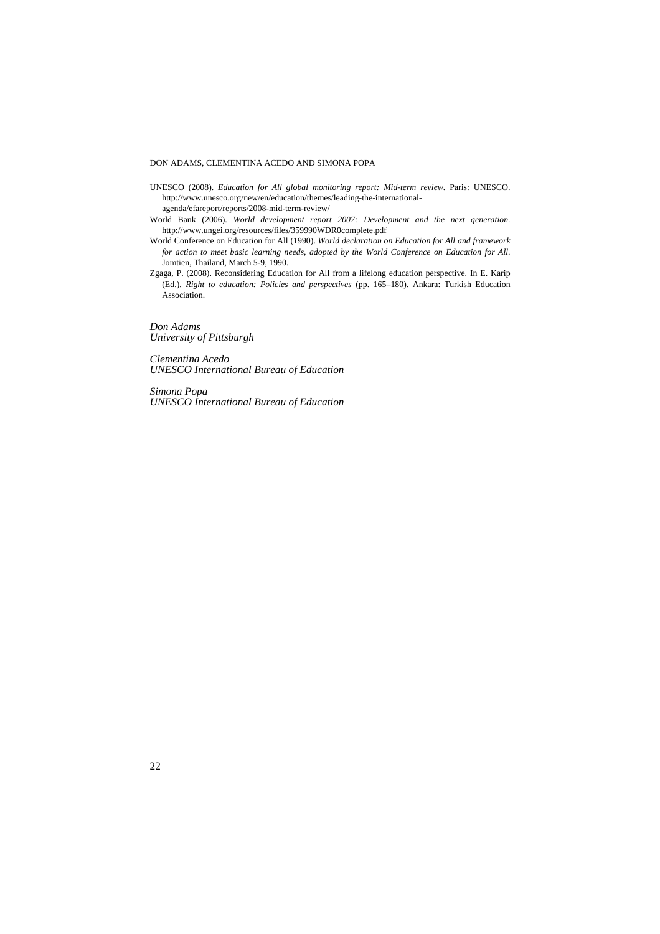- UNESCO (2008). *Education for All global monitoring report: Mid-term review.* Paris: UNESCO. http://www.unesco.org/new/en/education/themes/leading-the-internationalagenda/efareport/reports/2008-mid-term-review/
- World Bank (2006). *World development report 2007: Development and the next generation.* http://www.ungei.org/resources/files/359990WDR0complete.pdf
- World Conference on Education for All (1990). *World declaration on Education for All and framework for action to meet basic learning needs, adopted by the World Conference on Education for All*. Jomtien, Thailand, March 5-9, 1990.
- Zgaga, P. (2008). Reconsidering Education for All from a lifelong education perspective. In E. Karip (Ed.), *Right to education: Policies and perspectives* (pp. 165–180). Ankara: Turkish Education Association.

*Don Adams University of Pittsburgh* 

*Clementina Acedo UNESCO International Bureau of Education* 

*Simona Popa UNESCO International Bureau of Education*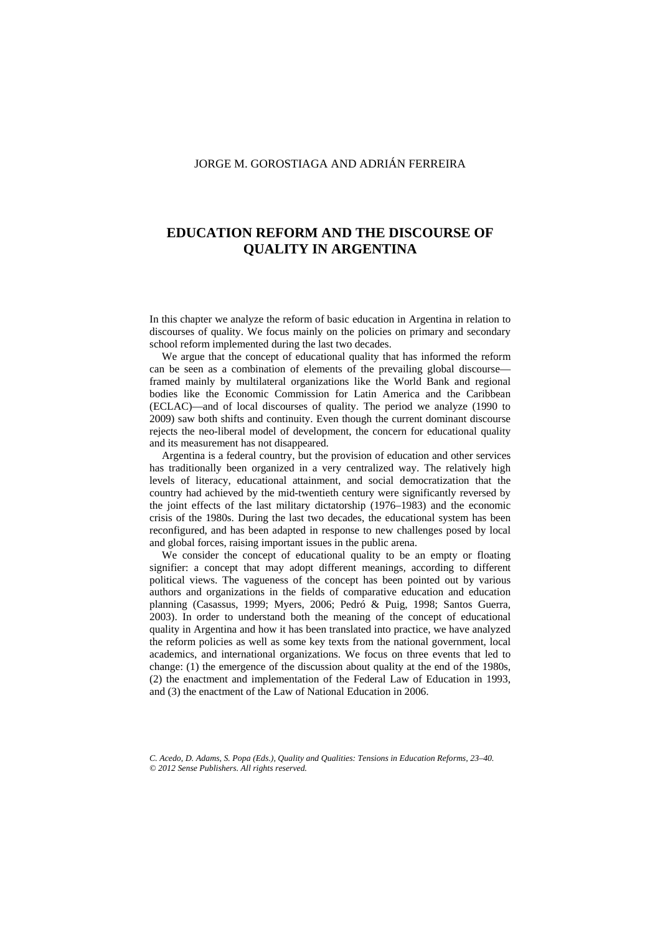### **EDUCATION REFORM AND THE DISCOURSE OF QUALITY IN ARGENTINA**

In this chapter we analyze the reform of basic education in Argentina in relation to discourses of quality. We focus mainly on the policies on primary and secondary school reform implemented during the last two decades.

 We argue that the concept of educational quality that has informed the reform can be seen as a combination of elements of the prevailing global discourse framed mainly by multilateral organizations like the World Bank and regional bodies like the Economic Commission for Latin America and the Caribbean (ECLAC)—and of local discourses of quality. The period we analyze (1990 to 2009) saw both shifts and continuity. Even though the current dominant discourse rejects the neo-liberal model of development, the concern for educational quality and its measurement has not disappeared.

 Argentina is a federal country, but the provision of education and other services has traditionally been organized in a very centralized way. The relatively high levels of literacy, educational attainment, and social democratization that the country had achieved by the mid-twentieth century were significantly reversed by the joint effects of the last military dictatorship (1976–1983) and the economic crisis of the 1980s. During the last two decades, the educational system has been reconfigured, and has been adapted in response to new challenges posed by local and global forces, raising important issues in the public arena.

 We consider the concept of educational quality to be an empty or floating signifier: a concept that may adopt different meanings, according to different political views. The vagueness of the concept has been pointed out by various authors and organizations in the fields of comparative education and education planning (Casassus, 1999; Myers, 2006; Pedró & Puig, 1998; Santos Guerra, 2003). In order to understand both the meaning of the concept of educational quality in Argentina and how it has been translated into practice, we have analyzed the reform policies as well as some key texts from the national government, local academics, and international organizations. We focus on three events that led to change: (1) the emergence of the discussion about quality at the end of the 1980s, (2) the enactment and implementation of the Federal Law of Education in 1993, and (3) the enactment of the Law of National Education in 2006.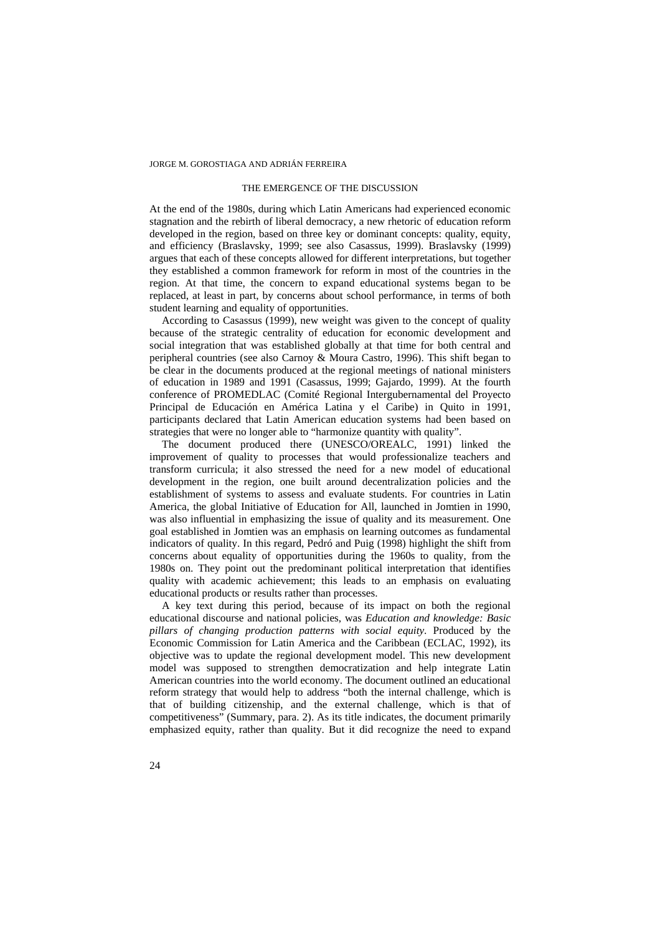#### THE EMERGENCE OF THE DISCUSSION

At the end of the 1980s, during which Latin Americans had experienced economic stagnation and the rebirth of liberal democracy, a new rhetoric of education reform developed in the region, based on three key or dominant concepts: quality, equity, and efficiency (Braslavsky, 1999; see also Casassus, 1999). Braslavsky (1999) argues that each of these concepts allowed for different interpretations, but together they established a common framework for reform in most of the countries in the region. At that time, the concern to expand educational systems began to be replaced, at least in part, by concerns about school performance, in terms of both student learning and equality of opportunities.

 According to Casassus (1999), new weight was given to the concept of quality because of the strategic centrality of education for economic development and social integration that was established globally at that time for both central and peripheral countries (see also Carnoy & Moura Castro, 1996). This shift began to be clear in the documents produced at the regional meetings of national ministers of education in 1989 and 1991 (Casassus, 1999; Gajardo, 1999). At the fourth conference of PROMEDLAC (Comité Regional Intergubernamental del Proyecto Principal de Educación en América Latina y el Caribe) in Quito in 1991, participants declared that Latin American education systems had been based on strategies that were no longer able to "harmonize quantity with quality".

 The document produced there (UNESCO/OREALC, 1991) linked the improvement of quality to processes that would professionalize teachers and transform curricula; it also stressed the need for a new model of educational development in the region, one built around decentralization policies and the establishment of systems to assess and evaluate students. For countries in Latin America, the global Initiative of Education for All, launched in Jomtien in 1990, was also influential in emphasizing the issue of quality and its measurement. One goal established in Jomtien was an emphasis on learning outcomes as fundamental indicators of quality. In this regard, Pedró and Puig (1998) highlight the shift from concerns about equality of opportunities during the 1960s to quality, from the 1980s on. They point out the predominant political interpretation that identifies quality with academic achievement; this leads to an emphasis on evaluating educational products or results rather than processes.

 A key text during this period, because of its impact on both the regional educational discourse and national policies, was *Education and knowledge: Basic pillars of changing production patterns with social equity*. Produced by the Economic Commission for Latin America and the Caribbean (ECLAC, 1992), its objective was to update the regional development model. This new development model was supposed to strengthen democratization and help integrate Latin American countries into the world economy. The document outlined an educational reform strategy that would help to address "both the internal challenge, which is that of building citizenship, and the external challenge, which is that of competitiveness" (Summary, para. 2). As its title indicates, the document primarily emphasized equity, rather than quality. But it did recognize the need to expand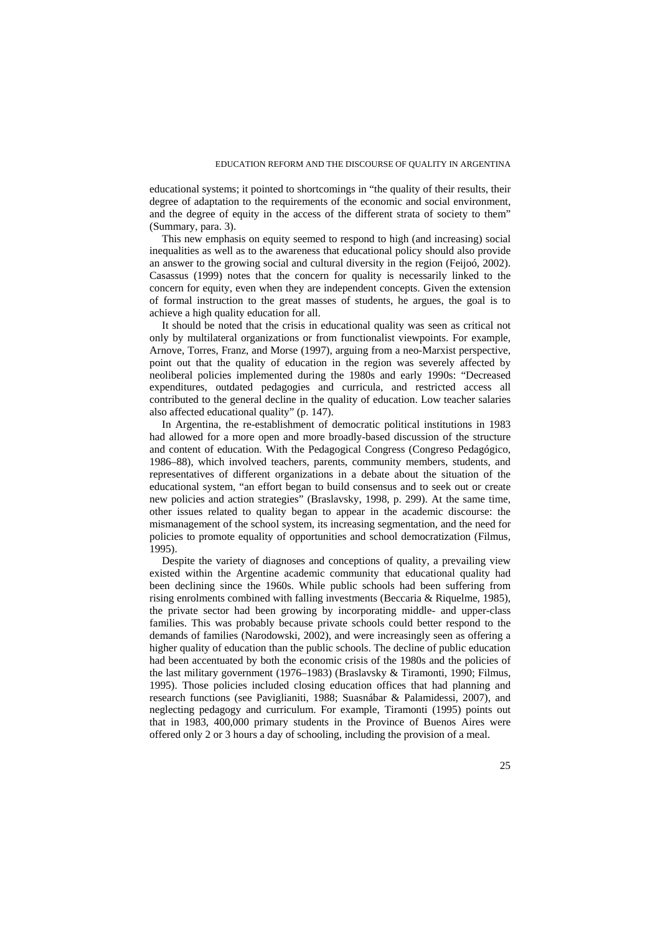educational systems; it pointed to shortcomings in "the quality of their results, their degree of adaptation to the requirements of the economic and social environment, and the degree of equity in the access of the different strata of society to them" (Summary, para. 3).

 This new emphasis on equity seemed to respond to high (and increasing) social inequalities as well as to the awareness that educational policy should also provide an answer to the growing social and cultural diversity in the region (Feijoó, 2002). Casassus (1999) notes that the concern for quality is necessarily linked to the concern for equity, even when they are independent concepts. Given the extension of formal instruction to the great masses of students, he argues, the goal is to achieve a high quality education for all.

 It should be noted that the crisis in educational quality was seen as critical not only by multilateral organizations or from functionalist viewpoints. For example, Arnove, Torres, Franz, and Morse (1997), arguing from a neo-Marxist perspective, point out that the quality of education in the region was severely affected by neoliberal policies implemented during the 1980s and early 1990s: "Decreased expenditures, outdated pedagogies and curricula, and restricted access all contributed to the general decline in the quality of education. Low teacher salaries also affected educational quality" (p. 147).

 In Argentina, the re-establishment of democratic political institutions in 1983 had allowed for a more open and more broadly-based discussion of the structure and content of education. With the Pedagogical Congress (Congreso Pedagógico, 1986–88), which involved teachers, parents, community members, students, and representatives of different organizations in a debate about the situation of the educational system, "an effort began to build consensus and to seek out or create new policies and action strategies" (Braslavsky, 1998, p. 299). At the same time, other issues related to quality began to appear in the academic discourse: the mismanagement of the school system, its increasing segmentation, and the need for policies to promote equality of opportunities and school democratization (Filmus, 1995).

 Despite the variety of diagnoses and conceptions of quality, a prevailing view existed within the Argentine academic community that educational quality had been declining since the 1960s. While public schools had been suffering from rising enrolments combined with falling investments (Beccaria & Riquelme, 1985), the private sector had been growing by incorporating middle- and upper-class families. This was probably because private schools could better respond to the demands of families (Narodowski, 2002), and were increasingly seen as offering a higher quality of education than the public schools. The decline of public education had been accentuated by both the economic crisis of the 1980s and the policies of the last military government (1976–1983) (Braslavsky & Tiramonti, 1990; Filmus, 1995). Those policies included closing education offices that had planning and research functions (see Paviglianiti, 1988; Suasnábar & Palamidessi, 2007), and neglecting pedagogy and curriculum. For example, Tiramonti (1995) points out that in 1983, 400,000 primary students in the Province of Buenos Aires were offered only 2 or 3 hours a day of schooling, including the provision of a meal.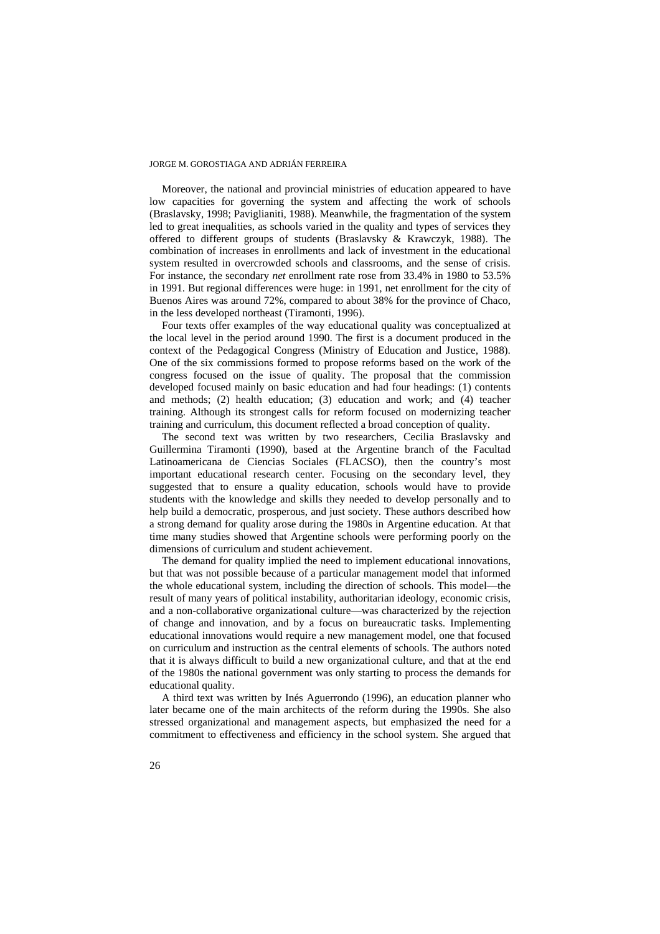#### JORGE M. GOROSTIAGA AND ADRIÁN FERREIRA

 Moreover, the national and provincial ministries of education appeared to have low capacities for governing the system and affecting the work of schools (Braslavsky, 1998; Paviglianiti, 1988). Meanwhile, the fragmentation of the system led to great inequalities, as schools varied in the quality and types of services they offered to different groups of students (Braslavsky & Krawczyk, 1988). The combination of increases in enrollments and lack of investment in the educational system resulted in overcrowded schools and classrooms, and the sense of crisis. For instance, the secondary *net* enrollment rate rose from 33.4% in 1980 to 53.5% in 1991. But regional differences were huge: in 1991, net enrollment for the city of Buenos Aires was around 72%, compared to about 38% for the province of Chaco, in the less developed northeast (Tiramonti, 1996).

 Four texts offer examples of the way educational quality was conceptualized at the local level in the period around 1990. The first is a document produced in the context of the Pedagogical Congress (Ministry of Education and Justice, 1988). One of the six commissions formed to propose reforms based on the work of the congress focused on the issue of quality. The proposal that the commission developed focused mainly on basic education and had four headings: (1) contents and methods; (2) health education; (3) education and work; and (4) teacher training. Although its strongest calls for reform focused on modernizing teacher training and curriculum, this document reflected a broad conception of quality.

 The second text was written by two researchers, Cecilia Braslavsky and Guillermina Tiramonti (1990), based at the Argentine branch of the Facultad Latinoamericana de Ciencias Sociales (FLACSO), then the country's most important educational research center. Focusing on the secondary level, they suggested that to ensure a quality education, schools would have to provide students with the knowledge and skills they needed to develop personally and to help build a democratic, prosperous, and just society. These authors described how a strong demand for quality arose during the 1980s in Argentine education. At that time many studies showed that Argentine schools were performing poorly on the dimensions of curriculum and student achievement.

 The demand for quality implied the need to implement educational innovations, but that was not possible because of a particular management model that informed the whole educational system, including the direction of schools. This model—the result of many years of political instability, authoritarian ideology, economic crisis, and a non-collaborative organizational culture—was characterized by the rejection of change and innovation, and by a focus on bureaucratic tasks. Implementing educational innovations would require a new management model, one that focused on curriculum and instruction as the central elements of schools. The authors noted that it is always difficult to build a new organizational culture, and that at the end of the 1980s the national government was only starting to process the demands for educational quality.

 A third text was written by Inés Aguerrondo (1996), an education planner who later became one of the main architects of the reform during the 1990s. She also stressed organizational and management aspects, but emphasized the need for a commitment to effectiveness and efficiency in the school system. She argued that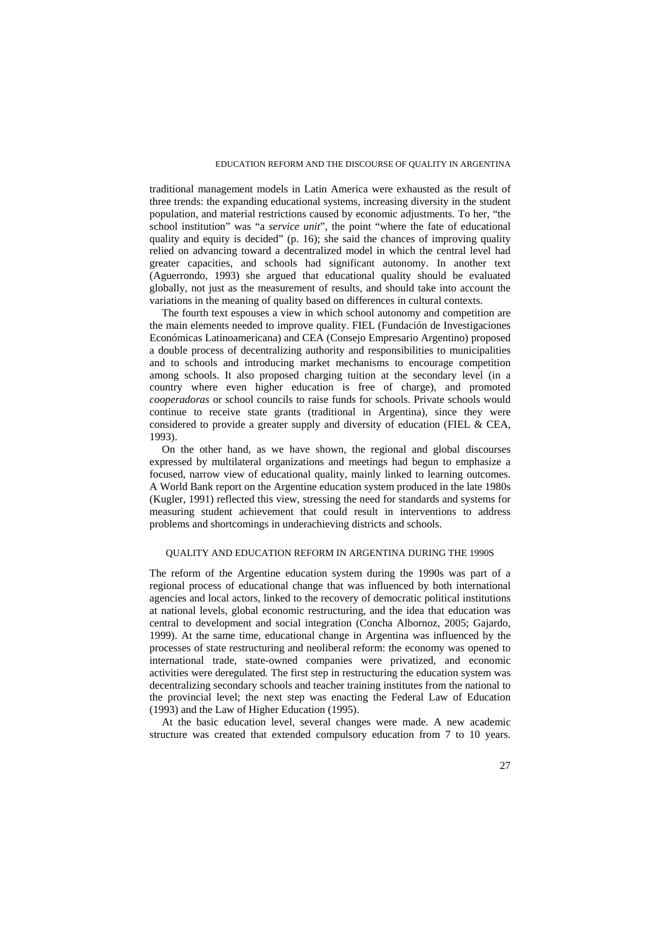#### EDUCATION REFORM AND THE DISCOURSE OF QUALITY IN ARGENTINA

traditional management models in Latin America were exhausted as the result of three trends: the expanding educational systems, increasing diversity in the student population, and material restrictions caused by economic adjustments. To her, "the school institution" was "a *service unit*", the point "where the fate of educational quality and equity is decided"  $(p, 16)$ ; she said the chances of improving quality relied on advancing toward a decentralized model in which the central level had greater capacities, and schools had significant autonomy. In another text (Aguerrondo, 1993) she argued that educational quality should be evaluated globally, not just as the measurement of results, and should take into account the variations in the meaning of quality based on differences in cultural contexts.

 The fourth text espouses a view in which school autonomy and competition are the main elements needed to improve quality. FIEL (Fundación de Investigaciones Económicas Latinoamericana) and CEA (Consejo Empresario Argentino) proposed a double process of decentralizing authority and responsibilities to municipalities and to schools and introducing market mechanisms to encourage competition among schools. It also proposed charging tuition at the secondary level (in a country where even higher education is free of charge), and promoted *cooperadoras* or school councils to raise funds for schools. Private schools would continue to receive state grants (traditional in Argentina), since they were considered to provide a greater supply and diversity of education (FIEL & CEA, 1993).

 On the other hand, as we have shown, the regional and global discourses expressed by multilateral organizations and meetings had begun to emphasize a focused, narrow view of educational quality, mainly linked to learning outcomes. A World Bank report on the Argentine education system produced in the late 1980s (Kugler, 1991) reflected this view, stressing the need for standards and systems for measuring student achievement that could result in interventions to address problems and shortcomings in underachieving districts and schools.

#### QUALITY AND EDUCATION REFORM IN ARGENTINA DURING THE 1990S

The reform of the Argentine education system during the 1990s was part of a regional process of educational change that was influenced by both international agencies and local actors, linked to the recovery of democratic political institutions at national levels, global economic restructuring, and the idea that education was central to development and social integration (Concha Albornoz, 2005; Gajardo, 1999). At the same time, educational change in Argentina was influenced by the processes of state restructuring and neoliberal reform: the economy was opened to international trade, state-owned companies were privatized, and economic activities were deregulated. The first step in restructuring the education system was decentralizing secondary schools and teacher training institutes from the national to the provincial level; the next step was enacting the Federal Law of Education (1993) and the Law of Higher Education (1995).

 At the basic education level, several changes were made. A new academic structure was created that extended compulsory education from 7 to 10 years.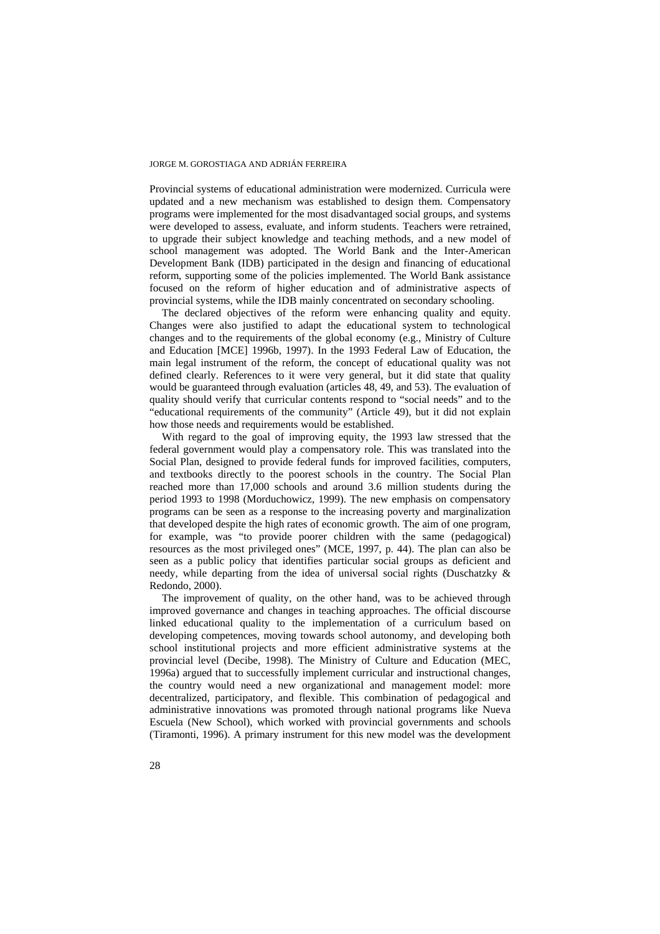#### JORGE M. GOROSTIAGA AND ADRIÁN FERREIRA

Provincial systems of educational administration were modernized. Curricula were updated and a new mechanism was established to design them. Compensatory programs were implemented for the most disadvantaged social groups, and systems were developed to assess, evaluate, and inform students. Teachers were retrained, to upgrade their subject knowledge and teaching methods, and a new model of school management was adopted. The World Bank and the Inter-American Development Bank (IDB) participated in the design and financing of educational reform, supporting some of the policies implemented. The World Bank assistance focused on the reform of higher education and of administrative aspects of provincial systems, while the IDB mainly concentrated on secondary schooling.

 The declared objectives of the reform were enhancing quality and equity. Changes were also justified to adapt the educational system to technological changes and to the requirements of the global economy (e.g., Ministry of Culture and Education [MCE] 1996b, 1997). In the 1993 Federal Law of Education, the main legal instrument of the reform, the concept of educational quality was not defined clearly. References to it were very general, but it did state that quality would be guaranteed through evaluation (articles 48, 49, and 53). The evaluation of quality should verify that curricular contents respond to "social needs" and to the "educational requirements of the community" (Article 49), but it did not explain how those needs and requirements would be established.

 With regard to the goal of improving equity, the 1993 law stressed that the federal government would play a compensatory role. This was translated into the Social Plan, designed to provide federal funds for improved facilities, computers, and textbooks directly to the poorest schools in the country. The Social Plan reached more than 17,000 schools and around 3.6 million students during the period 1993 to 1998 (Morduchowicz, 1999). The new emphasis on compensatory programs can be seen as a response to the increasing poverty and marginalization that developed despite the high rates of economic growth. The aim of one program, for example, was "to provide poorer children with the same (pedagogical) resources as the most privileged ones" (MCE, 1997, p. 44). The plan can also be seen as a public policy that identifies particular social groups as deficient and needy, while departing from the idea of universal social rights (Duschatzky & Redondo, 2000).

 The improvement of quality, on the other hand, was to be achieved through improved governance and changes in teaching approaches. The official discourse linked educational quality to the implementation of a curriculum based on developing competences, moving towards school autonomy, and developing both school institutional projects and more efficient administrative systems at the provincial level (Decibe, 1998). The Ministry of Culture and Education (MEC, 1996a) argued that to successfully implement curricular and instructional changes, the country would need a new organizational and management model: more decentralized, participatory, and flexible. This combination of pedagogical and administrative innovations was promoted through national programs like Nueva Escuela (New School), which worked with provincial governments and schools (Tiramonti, 1996). A primary instrument for this new model was the development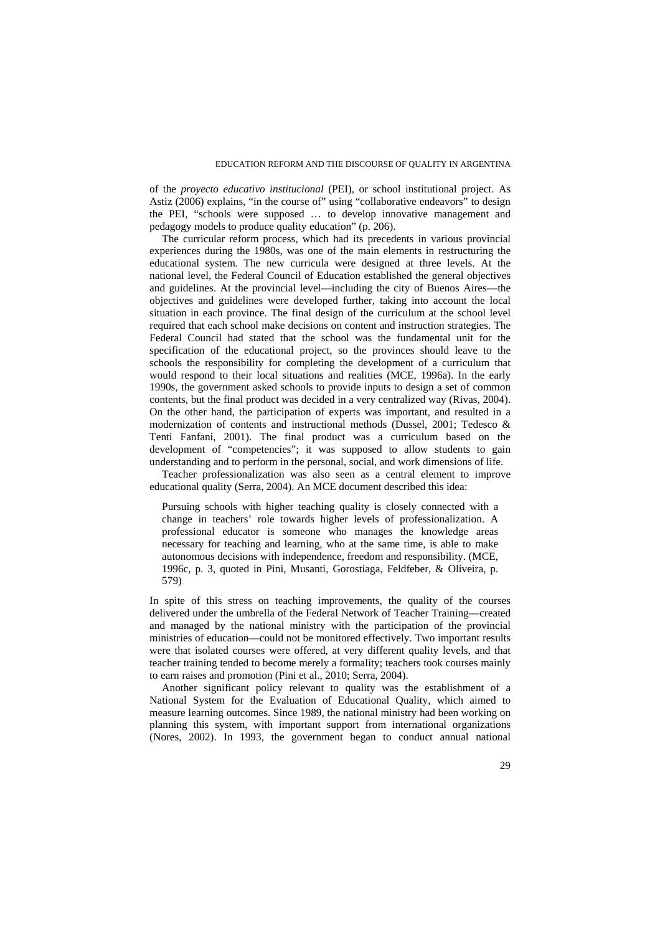of the *proyecto educativo institucional* (PEI), or school institutional project. As Astiz (2006) explains, "in the course of" using "collaborative endeavors" to design the PEI, "schools were supposed … to develop innovative management and pedagogy models to produce quality education" (p. 206).

 The curricular reform process, which had its precedents in various provincial experiences during the 1980s, was one of the main elements in restructuring the educational system. The new curricula were designed at three levels. At the national level, the Federal Council of Education established the general objectives and guidelines. At the provincial level—including the city of Buenos Aires—the objectives and guidelines were developed further, taking into account the local situation in each province. The final design of the curriculum at the school level required that each school make decisions on content and instruction strategies. The Federal Council had stated that the school was the fundamental unit for the specification of the educational project, so the provinces should leave to the schools the responsibility for completing the development of a curriculum that would respond to their local situations and realities (MCE, 1996a). In the early 1990s, the government asked schools to provide inputs to design a set of common contents, but the final product was decided in a very centralized way (Rivas, 2004). On the other hand, the participation of experts was important, and resulted in a modernization of contents and instructional methods (Dussel, 2001; Tedesco & Tenti Fanfani, 2001). The final product was a curriculum based on the development of "competencies"; it was supposed to allow students to gain understanding and to perform in the personal, social, and work dimensions of life.

 Teacher professionalization was also seen as a central element to improve educational quality (Serra, 2004). An MCE document described this idea:

Pursuing schools with higher teaching quality is closely connected with a change in teachers' role towards higher levels of professionalization. A professional educator is someone who manages the knowledge areas necessary for teaching and learning, who at the same time, is able to make autonomous decisions with independence, freedom and responsibility. (MCE, 1996c, p. 3, quoted in Pini, Musanti, Gorostiaga, Feldfeber, & Oliveira, p. 579)

In spite of this stress on teaching improvements, the quality of the courses delivered under the umbrella of the Federal Network of Teacher Training—created and managed by the national ministry with the participation of the provincial ministries of education—could not be monitored effectively. Two important results were that isolated courses were offered, at very different quality levels, and that teacher training tended to become merely a formality; teachers took courses mainly to earn raises and promotion (Pini et al., 2010; Serra, 2004).

 Another significant policy relevant to quality was the establishment of a National System for the Evaluation of Educational Quality, which aimed to measure learning outcomes. Since 1989, the national ministry had been working on planning this system, with important support from international organizations (Nores, 2002). In 1993, the government began to conduct annual national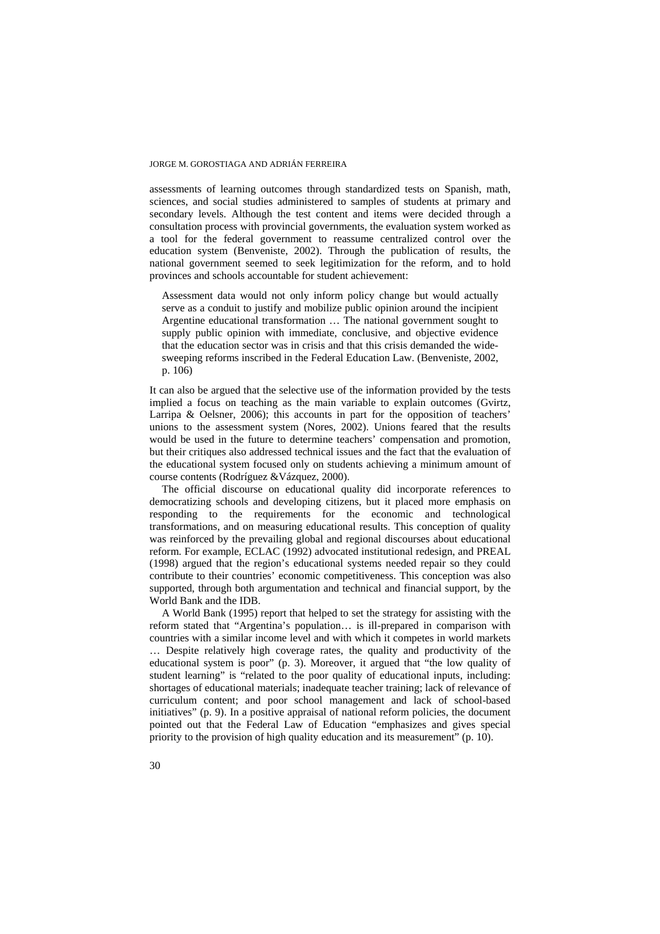#### JORGE M. GOROSTIAGA AND ADRIÁN FERREIRA

assessments of learning outcomes through standardized tests on Spanish, math, sciences, and social studies administered to samples of students at primary and secondary levels. Although the test content and items were decided through a consultation process with provincial governments, the evaluation system worked as a tool for the federal government to reassume centralized control over the education system (Benveniste, 2002). Through the publication of results, the national government seemed to seek legitimization for the reform, and to hold provinces and schools accountable for student achievement:

Assessment data would not only inform policy change but would actually serve as a conduit to justify and mobilize public opinion around the incipient Argentine educational transformation … The national government sought to supply public opinion with immediate, conclusive, and objective evidence that the education sector was in crisis and that this crisis demanded the widesweeping reforms inscribed in the Federal Education Law. (Benveniste, 2002, p. 106)

It can also be argued that the selective use of the information provided by the tests implied a focus on teaching as the main variable to explain outcomes (Gvirtz, Larripa & Oelsner, 2006); this accounts in part for the opposition of teachers' unions to the assessment system (Nores, 2002). Unions feared that the results would be used in the future to determine teachers' compensation and promotion, but their critiques also addressed technical issues and the fact that the evaluation of the educational system focused only on students achieving a minimum amount of course contents (Rodríguez &Vázquez, 2000).

 The official discourse on educational quality did incorporate references to democratizing schools and developing citizens, but it placed more emphasis on responding to the requirements for the economic and technological transformations, and on measuring educational results. This conception of quality was reinforced by the prevailing global and regional discourses about educational reform. For example, ECLAC (1992) advocated institutional redesign, and PREAL (1998) argued that the region's educational systems needed repair so they could contribute to their countries' economic competitiveness. This conception was also supported, through both argumentation and technical and financial support, by the World Bank and the IDB.

 A World Bank (1995) report that helped to set the strategy for assisting with the reform stated that "Argentina's population… is ill-prepared in comparison with countries with a similar income level and with which it competes in world markets … Despite relatively high coverage rates, the quality and productivity of the educational system is poor" (p. 3). Moreover, it argued that "the low quality of student learning" is "related to the poor quality of educational inputs, including: shortages of educational materials; inadequate teacher training; lack of relevance of curriculum content; and poor school management and lack of school-based initiatives" (p. 9). In a positive appraisal of national reform policies, the document pointed out that the Federal Law of Education "emphasizes and gives special priority to the provision of high quality education and its measurement" (p. 10).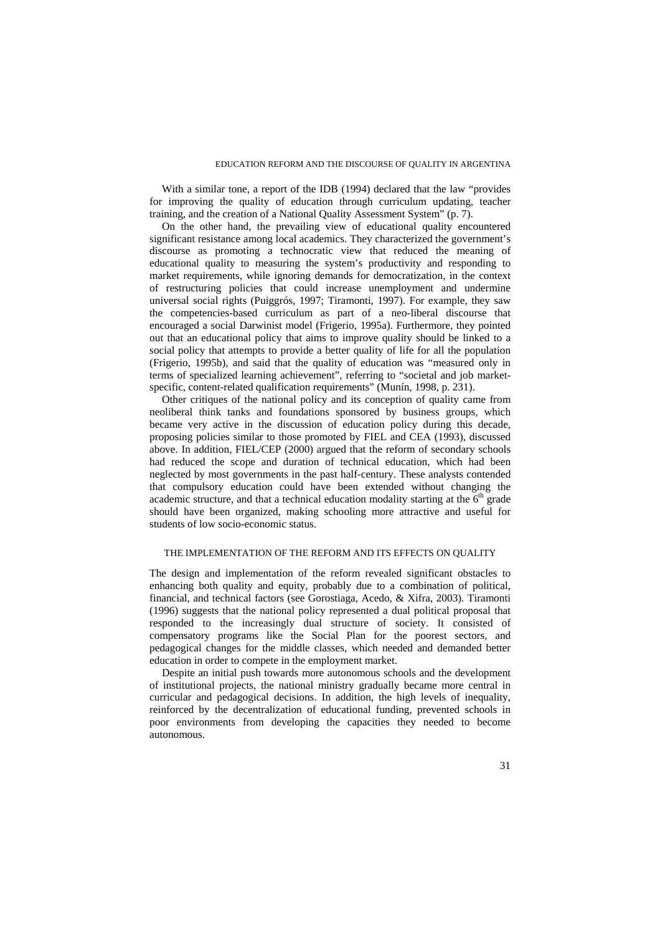With a similar tone, a report of the IDB (1994) declared that the law "provides for improving the quality of education through curriculum updating, teacher training, and the creation of a National Quality Assessment System" (p. 7).

 On the other hand, the prevailing view of educational quality encountered significant resistance among local academics. They characterized the government's discourse as promoting a technocratic view that reduced the meaning of educational quality to measuring the system's productivity and responding to market requirements, while ignoring demands for democratization, in the context of restructuring policies that could increase unemployment and undermine universal social rights (Puiggrós, 1997; Tiramonti, 1997). For example, they saw the competencies-based curriculum as part of a neo-liberal discourse that encouraged a social Darwinist model (Frigerio, 1995a). Furthermore, they pointed out that an educational policy that aims to improve quality should be linked to a social policy that attempts to provide a better quality of life for all the population (Frigerio, 1995b), and said that the quality of education was "measured only in terms of specialized learning achievement", referring to "societal and job marketspecific, content-related qualification requirements" (Munín, 1998, p. 231).

 Other critiques of the national policy and its conception of quality came from neoliberal think tanks and foundations sponsored by business groups, which became very active in the discussion of education policy during this decade, proposing policies similar to those promoted by FIEL and CEA (1993), discussed above. In addition, FIEL/CEP (2000) argued that the reform of secondary schools had reduced the scope and duration of technical education, which had been neglected by most governments in the past half-century. These analysts contended that compulsory education could have been extended without changing the academic structure, and that a technical education modality starting at the  $6<sup>th</sup>$  grade should have been organized, making schooling more attractive and useful for students of low socio-economic status.

#### THE IMPLEMENTATION OF THE REFORM AND ITS EFFECTS ON QUALITY

The design and implementation of the reform revealed significant obstacles to enhancing both quality and equity, probably due to a combination of political, financial, and technical factors (see Gorostiaga, Acedo, & Xifra, 2003). Tiramonti (1996) suggests that the national policy represented a dual political proposal that responded to the increasingly dual structure of society. It consisted of compensatory programs like the Social Plan for the poorest sectors, and pedagogical changes for the middle classes, which needed and demanded better education in order to compete in the employment market.

 Despite an initial push towards more autonomous schools and the development of institutional projects, the national ministry gradually became more central in curricular and pedagogical decisions. In addition, the high levels of inequality, reinforced by the decentralization of educational funding, prevented schools in poor environments from developing the capacities they needed to become autonomous.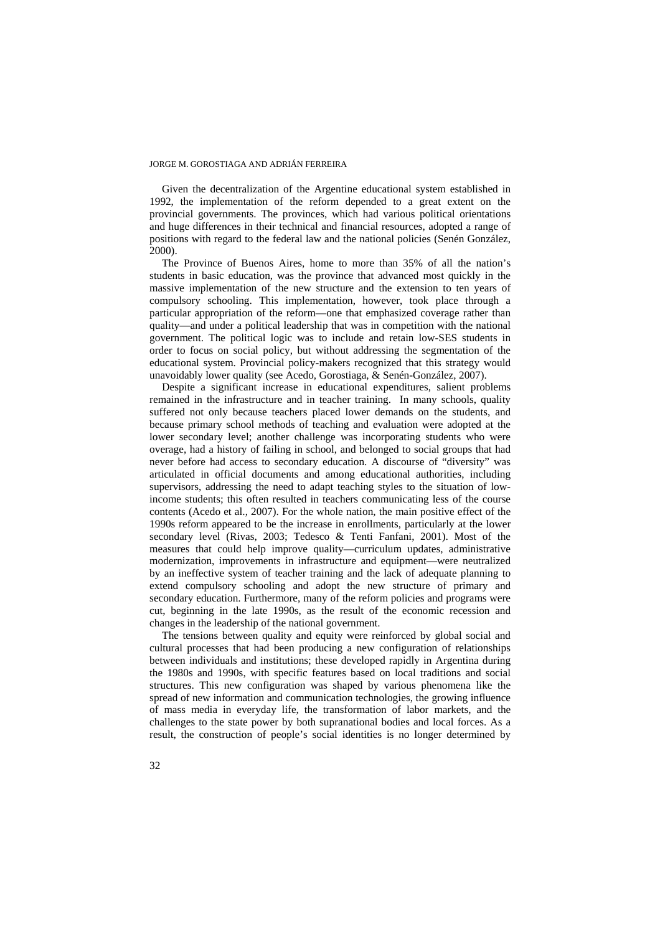#### JORGE M. GOROSTIAGA AND ADRIÁN FERREIRA

 Given the decentralization of the Argentine educational system established in 1992, the implementation of the reform depended to a great extent on the provincial governments. The provinces, which had various political orientations and huge differences in their technical and financial resources, adopted a range of positions with regard to the federal law and the national policies (Senén González, 2000).

 The Province of Buenos Aires, home to more than 35% of all the nation's students in basic education, was the province that advanced most quickly in the massive implementation of the new structure and the extension to ten years of compulsory schooling. This implementation, however, took place through a particular appropriation of the reform—one that emphasized coverage rather than quality—and under a political leadership that was in competition with the national government. The political logic was to include and retain low-SES students in order to focus on social policy, but without addressing the segmentation of the educational system. Provincial policy-makers recognized that this strategy would unavoidably lower quality (see Acedo, Gorostiaga, & Senén-González, 2007).

 Despite a significant increase in educational expenditures, salient problems remained in the infrastructure and in teacher training. In many schools, quality suffered not only because teachers placed lower demands on the students, and because primary school methods of teaching and evaluation were adopted at the lower secondary level; another challenge was incorporating students who were overage, had a history of failing in school, and belonged to social groups that had never before had access to secondary education. A discourse of "diversity" was articulated in official documents and among educational authorities, including supervisors, addressing the need to adapt teaching styles to the situation of lowincome students; this often resulted in teachers communicating less of the course contents (Acedo et al., 2007). For the whole nation, the main positive effect of the 1990s reform appeared to be the increase in enrollments, particularly at the lower secondary level (Rivas, 2003; Tedesco & Tenti Fanfani, 2001). Most of the measures that could help improve quality—curriculum updates, administrative modernization, improvements in infrastructure and equipment—were neutralized by an ineffective system of teacher training and the lack of adequate planning to extend compulsory schooling and adopt the new structure of primary and secondary education. Furthermore, many of the reform policies and programs were cut, beginning in the late 1990s, as the result of the economic recession and changes in the leadership of the national government.

 The tensions between quality and equity were reinforced by global social and cultural processes that had been producing a new configuration of relationships between individuals and institutions; these developed rapidly in Argentina during the 1980s and 1990s, with specific features based on local traditions and social structures. This new configuration was shaped by various phenomena like the spread of new information and communication technologies, the growing influence of mass media in everyday life, the transformation of labor markets, and the challenges to the state power by both supranational bodies and local forces. As a result, the construction of people's social identities is no longer determined by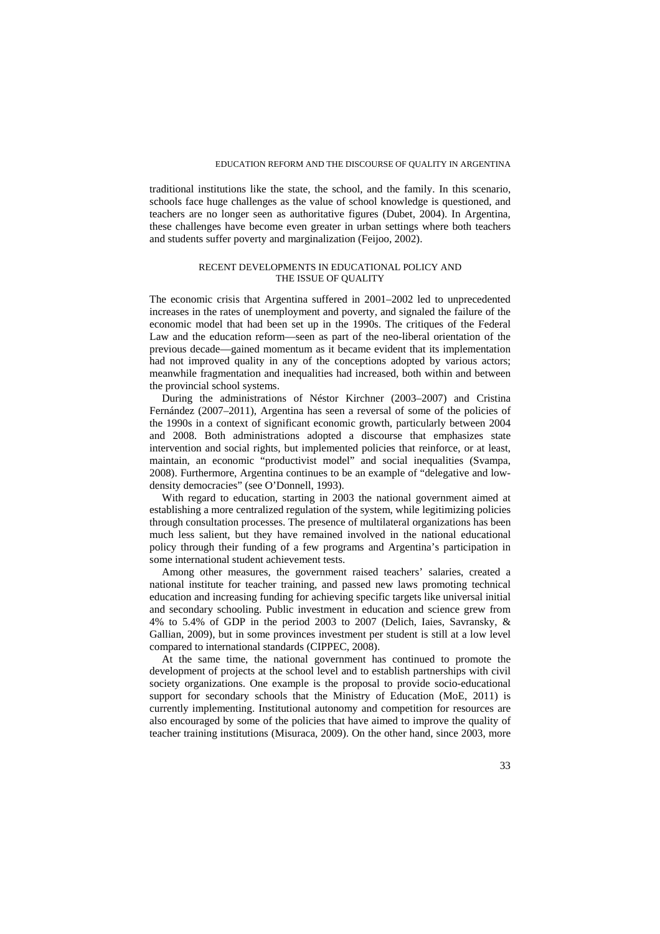#### EDUCATION REFORM AND THE DISCOURSE OF QUALITY IN ARGENTINA

traditional institutions like the state, the school, and the family. In this scenario, schools face huge challenges as the value of school knowledge is questioned, and teachers are no longer seen as authoritative figures (Dubet, 2004). In Argentina, these challenges have become even greater in urban settings where both teachers and students suffer poverty and marginalization (Feijoo, 2002).

#### RECENT DEVELOPMENTS IN EDUCATIONAL POLICY AND THE ISSUE OF QUALITY

The economic crisis that Argentina suffered in 2001–2002 led to unprecedented increases in the rates of unemployment and poverty, and signaled the failure of the economic model that had been set up in the 1990s. The critiques of the Federal Law and the education reform—seen as part of the neo-liberal orientation of the previous decade—gained momentum as it became evident that its implementation had not improved quality in any of the conceptions adopted by various actors; meanwhile fragmentation and inequalities had increased, both within and between the provincial school systems.

 During the administrations of Néstor Kirchner (2003–2007) and Cristina Fernández (2007–2011), Argentina has seen a reversal of some of the policies of the 1990s in a context of significant economic growth, particularly between 2004 and 2008. Both administrations adopted a discourse that emphasizes state intervention and social rights, but implemented policies that reinforce, or at least, maintain, an economic "productivist model" and social inequalities (Svampa, 2008). Furthermore, Argentina continues to be an example of "delegative and lowdensity democracies" (see O'Donnell, 1993).

 With regard to education, starting in 2003 the national government aimed at establishing a more centralized regulation of the system, while legitimizing policies through consultation processes. The presence of multilateral organizations has been much less salient, but they have remained involved in the national educational policy through their funding of a few programs and Argentina's participation in some international student achievement tests.

 Among other measures, the government raised teachers' salaries, created a national institute for teacher training, and passed new laws promoting technical education and increasing funding for achieving specific targets like universal initial and secondary schooling. Public investment in education and science grew from 4% to 5.4% of GDP in the period 2003 to 2007 (Delich, Iaies, Savransky, & Gallian, 2009), but in some provinces investment per student is still at a low level compared to international standards (CIPPEC, 2008).

 At the same time, the national government has continued to promote the development of projects at the school level and to establish partnerships with civil society organizations. One example is the proposal to provide socio-educational support for secondary schools that the Ministry of Education (MoE, 2011) is currently implementing. Institutional autonomy and competition for resources are also encouraged by some of the policies that have aimed to improve the quality of teacher training institutions (Misuraca, 2009). On the other hand, since 2003, more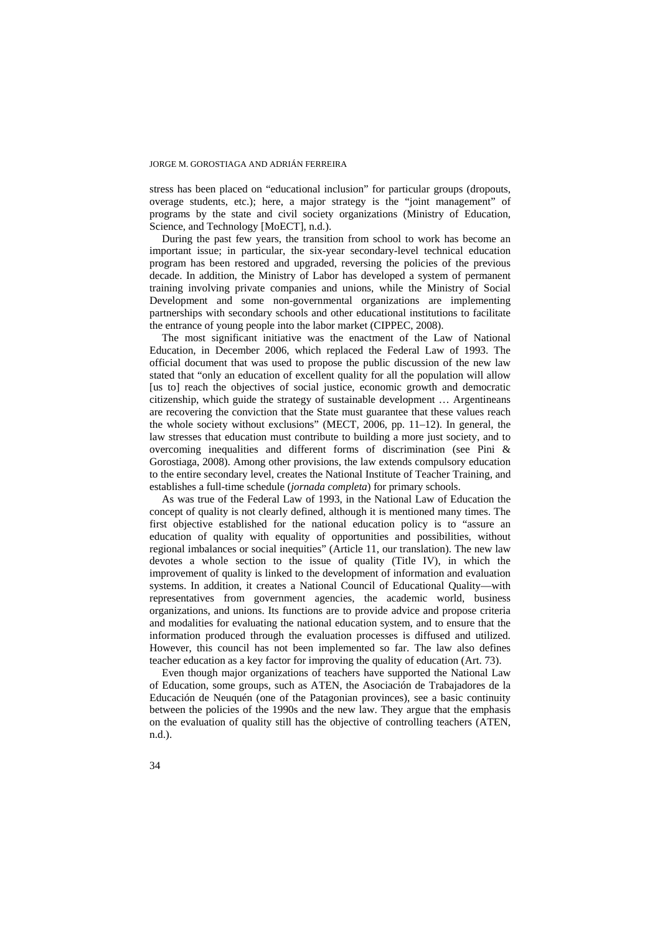#### JORGE M. GOROSTIAGA AND ADRIÁN FERREIRA

stress has been placed on "educational inclusion" for particular groups (dropouts, overage students, etc.); here, a major strategy is the "joint management" of programs by the state and civil society organizations (Ministry of Education, Science, and Technology [MoECT], n.d.).

 During the past few years, the transition from school to work has become an important issue; in particular, the six-year secondary-level technical education program has been restored and upgraded, reversing the policies of the previous decade. In addition, the Ministry of Labor has developed a system of permanent training involving private companies and unions, while the Ministry of Social Development and some non-governmental organizations are implementing partnerships with secondary schools and other educational institutions to facilitate the entrance of young people into the labor market (CIPPEC, 2008).

 The most significant initiative was the enactment of the Law of National Education, in December 2006, which replaced the Federal Law of 1993. The official document that was used to propose the public discussion of the new law stated that "only an education of excellent quality for all the population will allow [us to] reach the objectives of social justice, economic growth and democratic citizenship, which guide the strategy of sustainable development … Argentineans are recovering the conviction that the State must guarantee that these values reach the whole society without exclusions" (MECT, 2006, pp. 11–12). In general, the law stresses that education must contribute to building a more just society, and to overcoming inequalities and different forms of discrimination (see Pini & Gorostiaga, 2008). Among other provisions, the law extends compulsory education to the entire secondary level, creates the National Institute of Teacher Training, and establishes a full-time schedule (*jornada completa*) for primary schools.

 As was true of the Federal Law of 1993, in the National Law of Education the concept of quality is not clearly defined, although it is mentioned many times. The first objective established for the national education policy is to "assure an education of quality with equality of opportunities and possibilities, without regional imbalances or social inequities" (Article 11, our translation). The new law devotes a whole section to the issue of quality (Title IV), in which the improvement of quality is linked to the development of information and evaluation systems. In addition, it creates a National Council of Educational Quality—with representatives from government agencies, the academic world, business organizations, and unions. Its functions are to provide advice and propose criteria and modalities for evaluating the national education system, and to ensure that the information produced through the evaluation processes is diffused and utilized. However, this council has not been implemented so far. The law also defines teacher education as a key factor for improving the quality of education (Art. 73).

 Even though major organizations of teachers have supported the National Law of Education, some groups, such as ATEN, the Asociación de Trabajadores de la Educación de Neuquén (one of the Patagonian provinces), see a basic continuity between the policies of the 1990s and the new law. They argue that the emphasis on the evaluation of quality still has the objective of controlling teachers (ATEN, n.d.).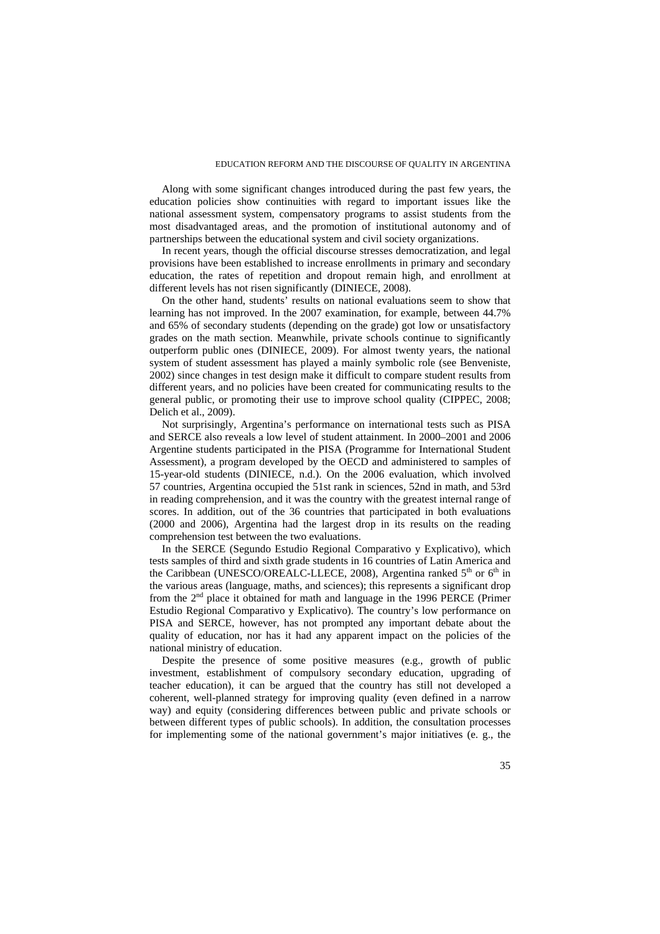Along with some significant changes introduced during the past few years, the education policies show continuities with regard to important issues like the national assessment system, compensatory programs to assist students from the most disadvantaged areas, and the promotion of institutional autonomy and of partnerships between the educational system and civil society organizations.

 In recent years, though the official discourse stresses democratization, and legal provisions have been established to increase enrollments in primary and secondary education, the rates of repetition and dropout remain high, and enrollment at different levels has not risen significantly (DINIECE, 2008).

 On the other hand, students' results on national evaluations seem to show that learning has not improved. In the 2007 examination, for example, between 44.7% and 65% of secondary students (depending on the grade) got low or unsatisfactory grades on the math section. Meanwhile, private schools continue to significantly outperform public ones (DINIECE, 2009). For almost twenty years, the national system of student assessment has played a mainly symbolic role (see Benveniste, 2002) since changes in test design make it difficult to compare student results from different years, and no policies have been created for communicating results to the general public, or promoting their use to improve school quality (CIPPEC, 2008; Delich et al., 2009).

 Not surprisingly, Argentina's performance on international tests such as PISA and SERCE also reveals a low level of student attainment. In 2000–2001 and 2006 Argentine students participated in the PISA (Programme for International Student Assessment), a program developed by the OECD and administered to samples of 15-year-old students (DINIECE, n.d.). On the 2006 evaluation, which involved 57 countries, Argentina occupied the 51st rank in sciences, 52nd in math, and 53rd in reading comprehension, and it was the country with the greatest internal range of scores. In addition, out of the 36 countries that participated in both evaluations (2000 and 2006), Argentina had the largest drop in its results on the reading comprehension test between the two evaluations.

 In the SERCE (Segundo Estudio Regional Comparativo y Explicativo), which tests samples of third and sixth grade students in 16 countries of Latin America and the Caribbean (UNESCO/OREALC-LLECE, 2008), Argentina ranked 5<sup>th</sup> or 6<sup>th</sup> in the various areas (language, maths, and sciences); this represents a significant drop from the  $2<sup>nd</sup>$  place it obtained for math and language in the 1996 PERCE (Primer Estudio Regional Comparativo y Explicativo). The country's low performance on PISA and SERCE, however, has not prompted any important debate about the quality of education, nor has it had any apparent impact on the policies of the national ministry of education.

 Despite the presence of some positive measures (e.g., growth of public investment, establishment of compulsory secondary education, upgrading of teacher education), it can be argued that the country has still not developed a coherent, well-planned strategy for improving quality (even defined in a narrow way) and equity (considering differences between public and private schools or between different types of public schools). In addition, the consultation processes for implementing some of the national government's major initiatives (e. g., the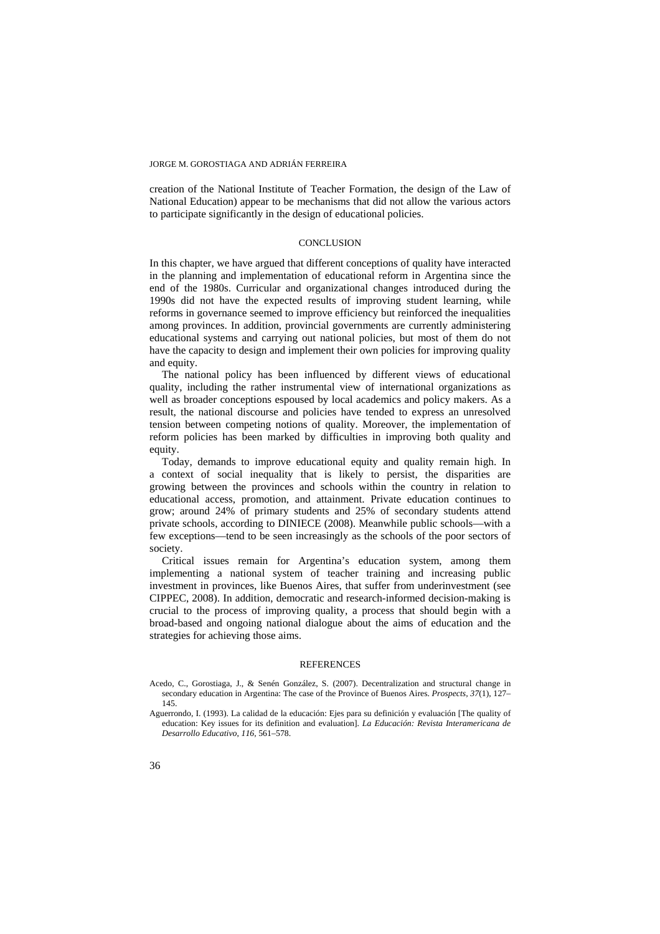creation of the National Institute of Teacher Formation, the design of the Law of National Education) appear to be mechanisms that did not allow the various actors to participate significantly in the design of educational policies.

#### **CONCLUSION**

In this chapter, we have argued that different conceptions of quality have interacted in the planning and implementation of educational reform in Argentina since the end of the 1980s. Curricular and organizational changes introduced during the 1990s did not have the expected results of improving student learning, while reforms in governance seemed to improve efficiency but reinforced the inequalities among provinces. In addition, provincial governments are currently administering educational systems and carrying out national policies, but most of them do not have the capacity to design and implement their own policies for improving quality and equity.

 The national policy has been influenced by different views of educational quality, including the rather instrumental view of international organizations as well as broader conceptions espoused by local academics and policy makers. As a result, the national discourse and policies have tended to express an unresolved tension between competing notions of quality. Moreover, the implementation of reform policies has been marked by difficulties in improving both quality and equity.

 Today, demands to improve educational equity and quality remain high. In a context of social inequality that is likely to persist, the disparities are growing between the provinces and schools within the country in relation to educational access, promotion, and attainment. Private education continues to grow; around 24% of primary students and 25% of secondary students attend private schools, according to DINIECE (2008). Meanwhile public schools—with a few exceptions—tend to be seen increasingly as the schools of the poor sectors of society.

 Critical issues remain for Argentina's education system, among them implementing a national system of teacher training and increasing public investment in provinces, like Buenos Aires, that suffer from underinvestment (see CIPPEC, 2008). In addition, democratic and research-informed decision-making is crucial to the process of improving quality, a process that should begin with a broad-based and ongoing national dialogue about the aims of education and the strategies for achieving those aims.

#### **REFERENCES**

Acedo, C., Gorostiaga, J., & Senén González, S. (2007). Decentralization and structural change in secondary education in Argentina: The case of the Province of Buenos Aires. *Prospects, 37*(1), 127– 145.

Aguerrondo, I. (1993). La calidad de la educación: Ejes para su definición y evaluación [The quality of education: Key issues for its definition and evaluation]. *La Educación: Revista Interamericana de Desarrollo Educativo*, *116,* 561–578.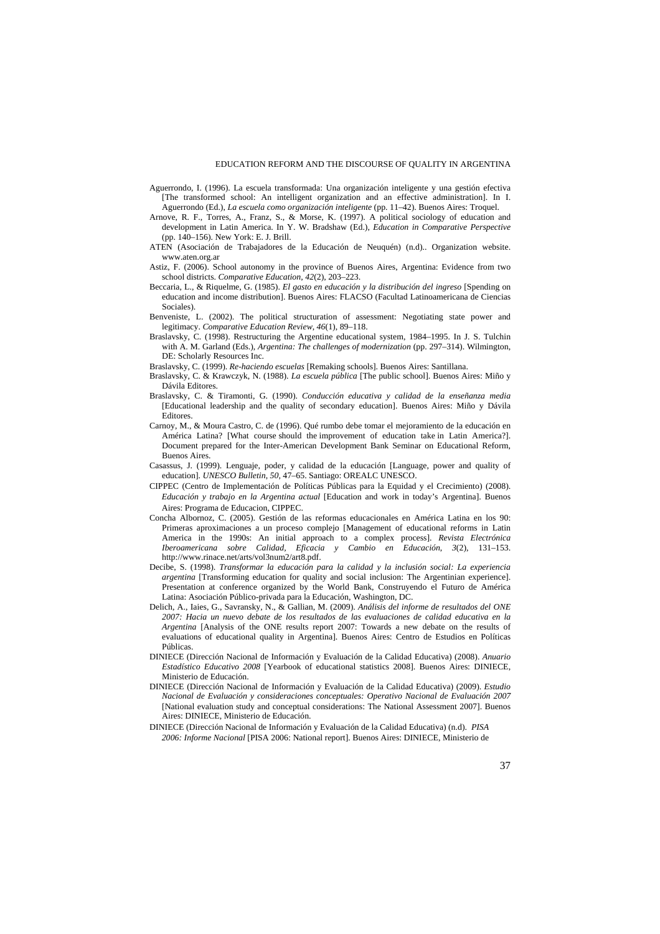- Aguerrondo, I. (1996). La escuela transformada: Una organización inteligente y una gestión efectiva [The transformed school: An intelligent organization and an effective administration]. In I. Aguerrondo (Ed.), *La escuela como organización inteligente* (pp. 11–42). Buenos Aires: Troquel.
- Arnove, R. F., Torres, A., Franz, S., & Morse, K. (1997). A political sociology of education and development in Latin America. In Y. W. Bradshaw (Ed.), *Education in Comparative Perspective* (pp. 140–156). New York: E. J. Brill.
- ATEN (Asociación de Trabajadores de la Educación de Neuquén) (n.d).. Organization website. www.aten.org.ar
- Astiz, F. (2006). School autonomy in the province of Buenos Aires, Argentina: Evidence from two school districts. *Comparative Education*, *42*(2), 203–223.
- Beccaria, L., & Riquelme, G. (1985). *El gasto en educación y la distribución del ingreso* [Spending on education and income distribution]. Buenos Aires: FLACSO (Facultad Latinoamericana de Ciencias Sociales).
- Benveniste, L. (2002). The political structuration of assessment: Negotiating state power and legitimacy. *Comparative Education Review*, *46*(1), 89–118.
- Braslavsky, C. (1998). Restructuring the Argentine educational system, 1984–1995. In J. S. Tulchin with A. M. Garland (Eds.), *Argentina: The challenges of modernization* (pp. 297–314). Wilmington, DE: Scholarly Resources Inc.
- Braslavsky, C. (1999). *Re-haciendo escuelas* [Remaking schools]. Buenos Aires: Santillana.
- Braslavsky, C. & Krawczyk, N. (1988). *La escuela pública* [The public school]. Buenos Aires: Miño y Dávila Editores.
- Braslavsky, C. & Tiramonti, G. (1990). *Conducción educativa y calidad de la enseñanza media*  [Educational leadership and the quality of secondary education]. Buenos Aires: Miño y Dávila Editores.
- Carnoy, M., & Moura Castro, C. de (1996). Qué rumbo debe tomar el mejoramiento de la educación en América Latina? [What course should the improvement of education take in Latin America?]. Document prepared for the Inter-American Development Bank Seminar on Educational Reform, Buenos Aires.
- Casassus, J. (1999). Lenguaje, poder, y calidad de la educación [Language, power and quality of education]. *UNESCO Bulletin*, *50,* 47–65. Santiago: OREALC UNESCO.
- CIPPEC (Centro de Implementación de Políticas Públicas para la Equidad y el Crecimiento) (2008). *Educación y trabajo en la Argentina actual* [Education and work in today's Argentina]. Buenos Aires: Programa de Educacion, CIPPEC.
- Concha Albornoz, C. (2005). Gestión de las reformas educacionales en América Latina en los 90: Primeras aproximaciones a un proceso complejo [Management of educational reforms in Latin America in the 1990s: An initial approach to a complex process]. *Revista Electrónica Iberoamericana sobre Calidad, Eficacia y Cambio en Educación*, *3*(2), 131–153. http://www.rinace.net/arts/vol3num2/art8.pdf.
- Decibe, S. (1998). *Transformar la educación para la calidad y la inclusión social: La experiencia argentina* [Transforming education for quality and social inclusion: The Argentinian experience]. Presentation at conference organized by the World Bank, Construyendo el Futuro de América Latina: Asociación Público-privada para la Educación, Washington, DC.
- Delich, A., Iaies, G., Savransky, N., & Gallian, M. (2009). *Análisis del informe de resultados del ONE 2007: Hacia un nuevo debate de los resultados de las evaluaciones de calidad educativa en la Argentina* [Analysis of the ONE results report 2007: Towards a new debate on the results of evaluations of educational quality in Argentina]. Buenos Aires: Centro de Estudios en Políticas Públicas.
- DINIECE (Dirección Nacional de Información y Evaluación de la Calidad Educativa) (2008). *Anuario Estadístico Educativo 2008* [Yearbook of educational statistics 2008]. Buenos Aires: DINIECE, Ministerio de Educación.
- DINIECE (Dirección Nacional de Información y Evaluación de la Calidad Educativa) (2009). *Estudio Nacional de Evaluación y consideraciones conceptuales: Operativo Nacional de Evaluación 2007*  [National evaluation study and conceptual considerations: The National Assessment 2007]. Buenos Aires: DINIECE, Ministerio de Educación.
- DINIECE (Dirección Nacional de Información y Evaluación de la Calidad Educativa) (n.d). *PISA 2006: Informe Nacional* [PISA 2006: National report]. Buenos Aires: DINIECE, Ministerio de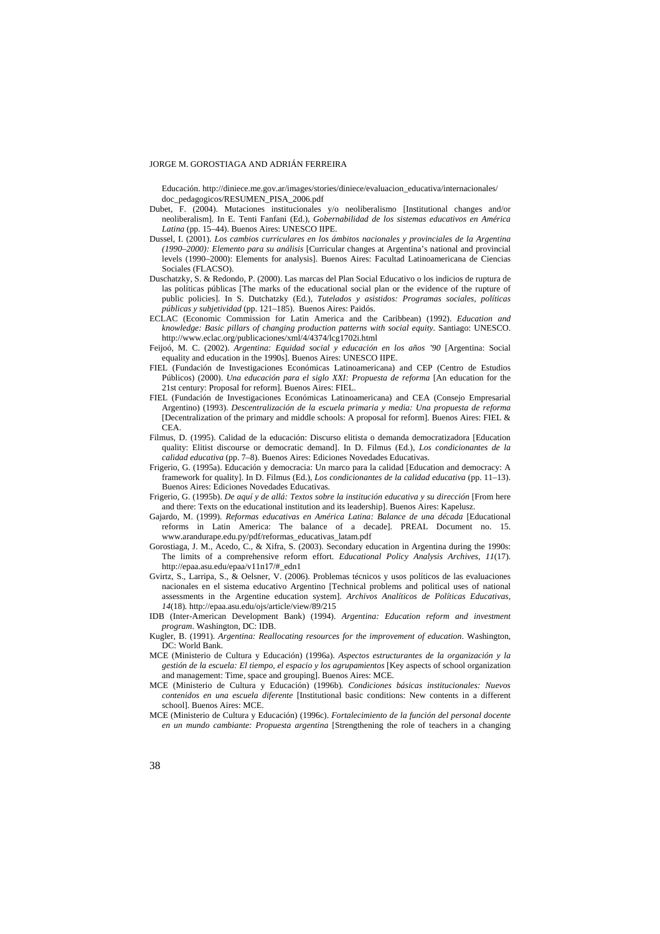#### JORGE M. GOROSTIAGA AND ADRIÁN FERREIRA

Educación. http://diniece.me.gov.ar/images/stories/diniece/evaluacion\_educativa/internacionales/ doc\_pedagogicos/RESUMEN\_PISA\_2006.pdf

- Dubet, F. (2004). Mutaciones institucionales y/o neoliberalismo [Institutional changes and/or neoliberalism]. In E. Tenti Fanfani (Ed.), *Gobernabilidad de los sistemas educativos en América Latina* (pp. 15–44). Buenos Aires: UNESCO IIPE.
- Dussel, I. (2001). *Los cambios curriculares en los ámbitos nacionales y provinciales de la Argentina (1990–2000): Elemento para su análisis* [Curricular changes at Argentina's national and provincial levels (1990–2000): Elements for analysis]. Buenos Aires: Facultad Latinoamericana de Ciencias Sociales (FLACSO).
- Duschatzky, S. & Redondo, P. (2000). Las marcas del Plan Social Educativo o los indicios de ruptura de las políticas públicas [The marks of the educational social plan or the evidence of the rupture of public policies]. In S. Dutchatzky (Ed.), *Tutelados y asistidos: Programas sociales, políticas públicas y subjetividad* (pp. 121–185). Buenos Aires: Paidós.
- ECLAC (Economic Commission for Latin America and the Caribbean) (1992). *Education and knowledge: Basic pillars of changing production patterns with social equity*. Santiago: UNESCO. http://www.eclac.org/publicaciones/xml/4/4374/lcg1702i.html
- Feijoó, M. C. (2002). *Argentina: Equidad social y educación en los años '90* [Argentina: Social equality and education in the 1990s]. Buenos Aires: UNESCO IIPE.
- FIEL (Fundación de Investigaciones Económicas Latinoamericana) and CEP (Centro de Estudios Públicos) (2000). *Una educación para el siglo XXI: Propuesta de reforma* [An education for the 21st century: Proposal for reform]. Buenos Aires: FIEL.
- FIEL (Fundación de Investigaciones Económicas Latinoamericana) and CEA (Consejo Empresarial Argentino) (1993). *Descentralización de la escuela primaria y media: Una propuesta de reforma* [Decentralization of the primary and middle schools: A proposal for reform]. Buenos Aires: FIEL & CEA.
- Filmus, D. (1995). Calidad de la educación: Discurso elitista o demanda democratizadora [Education quality: Elitist discourse or democratic demand]. In D. Filmus (Ed.), *Los condicionantes de la calidad educativa* (pp. 7–8). Buenos Aires: Ediciones Novedades Educativas.
- Frigerio, G. (1995a). Educación y democracia: Un marco para la calidad [Education and democracy: A framework for quality]. In D. Filmus (Ed.), *Los condicionantes de la calidad educativa* (pp. 11–13). Buenos Aires: Ediciones Novedades Educativas.
- Frigerio, G. (1995b). *De aquí y de allá: Textos sobre la institución educativa y su dirección* [From here and there: Texts on the educational institution and its leadership]. Buenos Aires: Kapelusz.
- Gajardo, M. (1999). *Reformas educativas en América Latina: Balance de una década* [Educational reforms in Latin America: The balance of a decade]. PREAL Document no. 15. www.arandurape.edu.py/pdf/reformas\_educativas\_latam.pdf
- Gorostiaga, J. M., Acedo, C., & Xifra, S. (2003). Secondary education in Argentina during the 1990s: The limits of a comprehensive reform effort. *Educational Policy Analysis Archives*, *11*(17). http://epaa.asu.edu/epaa/v11n17/#\_edn1
- Gvirtz, S., Larripa, S., & Oelsner, V. (2006). Problemas técnicos y usos políticos de las evaluaciones nacionales en el sistema educativo Argentino [Technical problems and political uses of national assessments in the Argentine education system]. *Archivos Analíticos de Políticas Educativas, 14*(18)*.* http://epaa.asu.edu/ojs/article/view/89/215
- IDB (Inter-American Development Bank) (1994). *Argentina: Education reform and investment program*. Washington, DC: IDB.
- Kugler, B. (1991). *Argentina: Reallocating resources for the improvement of education*. Washington, DC: World Bank.
- MCE (Ministerio de Cultura y Educación) (1996a). *Aspectos estructurantes de la organización y la gestión de la escuela: El tiempo, el espacio y los agrupamientos* [Key aspects of school organization and management: Time, space and grouping]. Buenos Aires: MCE.
- MCE (Ministerio de Cultura y Educación) (1996b)*. Condiciones básicas institucionales: Nuevos contenidos en una escuela diferente* [Institutional basic conditions: New contents in a different school]. Buenos Aires: MCE.
- MCE (Ministerio de Cultura y Educación) (1996c). *Fortalecimiento de la función del personal docente en un mundo cambiante: Propuesta argentina* [Strengthening the role of teachers in a changing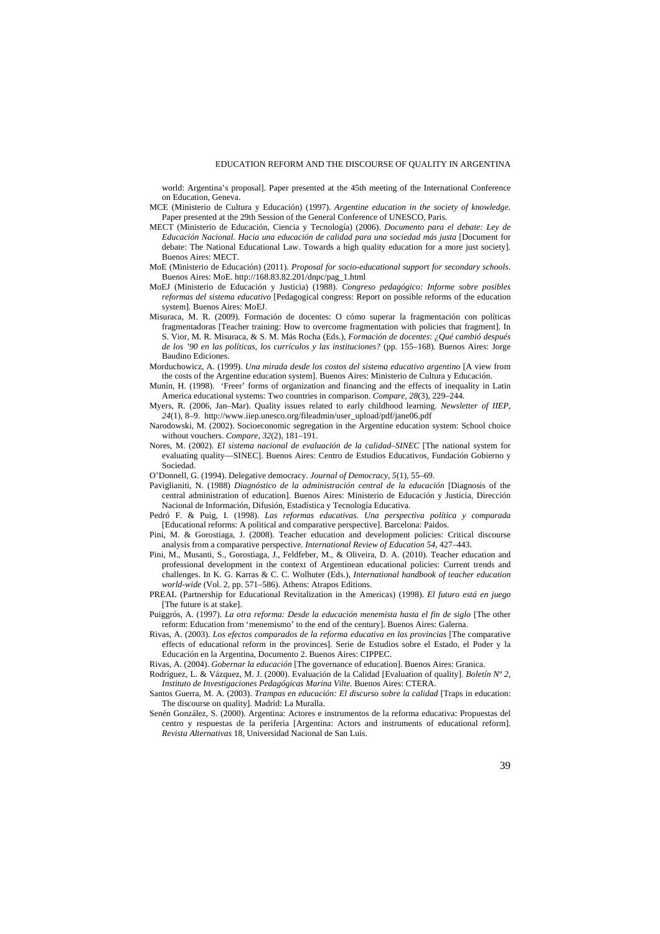world: Argentina's proposal]. Paper presented at the 45th meeting of the International Conference on Education, Geneva.

- MCE (Ministerio de Cultura y Educación) (1997). *Argentine education in the society of knowledge*. Paper presented at the 29th Session of the General Conference of UNESCO, Paris.
- MECT (Ministerio de Educación, Ciencia y Tecnología) (2006). *Documento para el debate: Ley de Educación Nacional. Hacia una educación de calidad para una sociedad más justa* [Document for debate: The National Educational Law. Towards a high quality education for a more just society]. Buenos Aires: MECT.
- MoE (Ministerio de Educación) (2011). *Proposal for socio-educational support for secondary schools*. Buenos Aires: MoE. http://168.83.82.201/dnpc/pag\_1.html
- MoEJ (Ministerio de Educación y Justicia) (1988). *Congreso pedagógico: Informe sobre posibles reformas del sistema educativo* [Pedagogical congress: Report on possible reforms of the education system]*.* Buenos Aires: MoEJ.
- Misuraca, M. R. (2009). Formación de docentes: O cómo superar la fragmentación con políticas fragmentadoras [Teacher training: How to overcome fragmentation with policies that fragment]. In S. Vior, M. R. Misuraca, & S. M. Más Rocha (Eds.), *Formación de docentes*: *¿Qué cambió después de los '90 en las políticas, los currículos y las instituciones?* (pp. 155–168). Buenos Aires: Jorge Baudino Ediciones.
- Morduchowicz, A. (1999). *Una mirada desde los costos del sistema educativo argentino* [A view from the costs of the Argentine education system]. Buenos Aires: Ministerio de Cultura y Educación.
- Munín, H. (1998). 'Freer' forms of organization and financing and the effects of inequality in Latin America educational systems: Two countries in comparison. *Compare*, *28*(3), 229–244.
- Myers, R. (2006, Jan–Mar). Quality issues related to early childhood learning. *Newsletter of IIEP, 24*(1), 8–9. http://www.iiep.unesco.org/fileadmin/user\_upload/pdf/jane06.pdf
- Narodowski, M. (2002). Socioeconomic segregation in the Argentine education system: School choice without vouchers. *Compare, 32*(2), 181–191.
- Nores, M. (2002). *El sistema nacional de evaluación de la calidad–SINEC* [The national system for evaluating quality—SINEC]. Buenos Aires: Centro de Estudios Educativos, Fundación Gobierno y Sociedad.
- O'Donnell, G. (1994). Delegative democracy. *Journal of Democracy*, *5*(1), 55–69.
- Paviglianiti, N. (1988) *Diagnóstico de la administración central de la educación* [Diagnosis of the central administration of education]. Buenos Aires: Ministerio de Educación y Justicia, Dirección Nacional de Información, Difusión, Estadística y Tecnología Educativa.
- Pedró F. & Puig, I. (1998). *Las reformas educativas. Una perspectiva política y comparada* [Educational reforms: A political and comparative perspective]. Barcelona: Paidos.
- Pini, M. & Gorostiaga, J. (2008). Teacher education and development policies: Critical discourse analysis from a comparative perspective. *International Review of Education 54,* 427–443.
- Pini, M., Musanti, S., Gorostiaga, J., Feldfeber, M., & Oliveira, D. A. (2010). Teacher education and professional development in the context of Argentinean educational policies: Current trends and challenges. In K. G. Karras & C. C. Wolhuter (Eds.), *International handbook of teacher education world-wide* (Vol. 2, pp. 571–586). Athens: Atrapos Editions.
- PREAL (Partnership for Educational Revitalization in the Americas) (1998). *El futuro está en juego* [The future is at stake].
- Puiggrós, A. (1997). *La otra reforma: Desde la educación menemista hasta el fin de siglo* [The other reform: Education from 'menemismo' to the end of the century]. Buenos Aires: Galerna.
- Rivas, A. (2003). *Los efectos comparados de la reforma educativa en las provincias* [The comparative effects of educational reform in the provinces]*.* Serie de Estudios sobre el Estado, el Poder y la Educación en la Argentina, Documento 2. Buenos Aires: CIPPEC.
- Rivas, A. (2004). *Gobernar la educación* [The governance of education]. Buenos Aires: Granica.
- Rodríguez, L. & Vázquez, M. J. (2000). Evaluación de la Calidad [Evaluation of quality]. *Boletín Nº 2, Instituto de Investigaciones Pedagógicas Marina Vilte*. Buenos Aires: CTERA.
- Santos Guerra, M. A. (2003). *Trampas en educación: El discurso sobre la calidad* [Traps in education: The discourse on quality]. Madrid: La Muralla.
- Senén González, S. (2000). Argentina: Actores e instrumentos de la reforma educativa: Propuestas del centro y respuestas de la periferia [Argentina: Actors and instruments of educational reform]. *Revista Alternativas* 18, Universidad Nacional de San Luis.